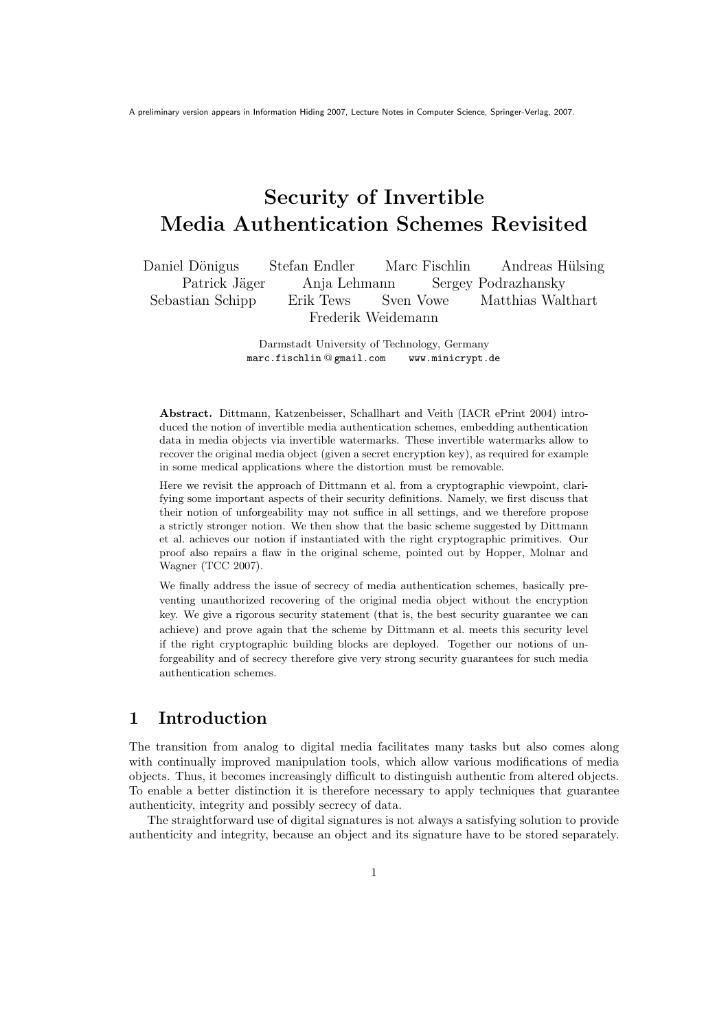# Security of Invertible Media Authentication Schemes Revisited

### Daniel Dönigus Stefan Endler Marc Fischlin Andreas Hülsing Patrick Jäger Anja Lehmann Sergey Podrazhansky Sebastian Schipp Erik Tews Sven Vowe Matthias Walthart Frederik Weidemann

Darmstadt University of Technology, Germany marc.fischlin @ gmail.com www.minicrypt.de

Abstract. Dittmann, Katzenbeisser, Schallhart and Veith (IACR ePrint 2004) introduced the notion of invertible media authentication schemes, embedding authentication data in media objects via invertible watermarks. These invertible watermarks allow to recover the original media object (given a secret encryption key), as required for example in some medical applications where the distortion must be removable.

Here we revisit the approach of Dittmann et al. from a cryptographic viewpoint, clarifying some important aspects of their security definitions. Namely, we first discuss that their notion of unforgeability may not suffice in all settings, and we therefore propose a strictly stronger notion. We then show that the basic scheme suggested by Dittmann et al. achieves our notion if instantiated with the right cryptographic primitives. Our proof also repairs a flaw in the original scheme, pointed out by Hopper, Molnar and Wagner (TCC 2007).

We finally address the issue of secrecy of media authentication schemes, basically preventing unauthorized recovering of the original media object without the encryption key. We give a rigorous security statement (that is, the best security guarantee we can achieve) and prove again that the scheme by Dittmann et al. meets this security level if the right cryptographic building blocks are deployed. Together our notions of unforgeability and of secrecy therefore give very strong security guarantees for such media authentication schemes.

# 1 Introduction

The transition from analog to digital media facilitates many tasks but also comes along with continually improved manipulation tools, which allow various modifications of media objects. Thus, it becomes increasingly difficult to distinguish authentic from altered objects. To enable a better distinction it is therefore necessary to apply techniques that guarantee authenticity, integrity and possibly secrecy of data.

The straightforward use of digital signatures is not always a satisfying solution to provide authenticity and integrity, because an object and its signature have to be stored separately.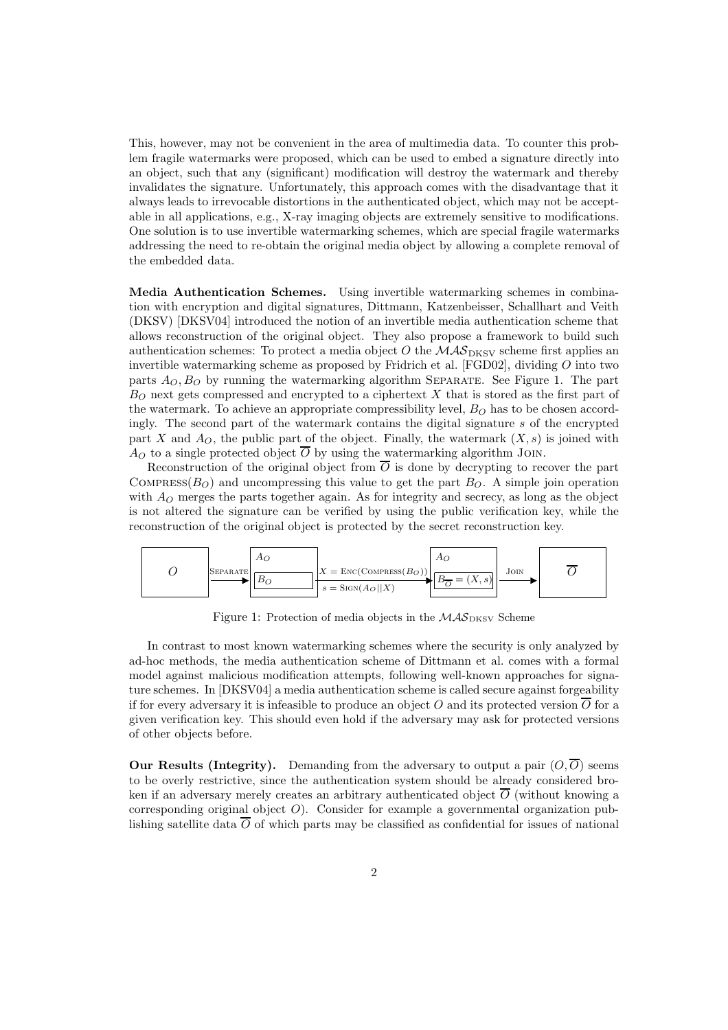This, however, may not be convenient in the area of multimedia data. To counter this problem fragile watermarks were proposed, which can be used to embed a signature directly into an object, such that any (significant) modification will destroy the watermark and thereby invalidates the signature. Unfortunately, this approach comes with the disadvantage that it always leads to irrevocable distortions in the authenticated object, which may not be acceptable in all applications, e.g., X-ray imaging objects are extremely sensitive to modifications. One solution is to use invertible watermarking schemes, which are special fragile watermarks addressing the need to re-obtain the original media object by allowing a complete removal of the embedded data.

Media Authentication Schemes. Using invertible watermarking schemes in combination with encryption and digital signatures, Dittmann, Katzenbeisser, Schallhart and Veith (DKSV) [DKSV04] introduced the notion of an invertible media authentication scheme that allows reconstruction of the original object. They also propose a framework to build such authentication schemes: To protect a media object O the  $MAS_{\text{DKSV}}$  scheme first applies an invertible watermarking scheme as proposed by Fridrich et al. [FGD02], dividing  $O$  into two parts  $A_O, B_O$  by running the watermarking algorithm SEPARATE. See Figure 1. The part  $B<sub>O</sub>$  next gets compressed and encrypted to a ciphertext X that is stored as the first part of the watermark. To achieve an appropriate compressibility level,  $B<sub>O</sub>$  has to be chosen accordingly. The second part of the watermark contains the digital signature  $s$  of the encrypted part X and  $A_O$ , the public part of the object. Finally, the watermark  $(X, s)$  is joined with  $A_{\Omega}$  to a single protected object  $\overline{O}$  by using the watermarking algorithm JOIN.

Reconstruction of the original object from  $\overline{O}$  is done by decrypting to recover the part COMPRESS( $B_O$ ) and uncompressing this value to get the part  $B_O$ . A simple join operation with  $A<sub>O</sub>$  merges the parts together again. As for integrity and secrecy, as long as the object is not altered the signature can be verified by using the public verification key, while the reconstruction of the original object is protected by the secret reconstruction key.



Figure 1: Protection of media objects in the  $\mathcal{M} \mathcal{A} \mathcal{S}_{\text{DKSV}}$  Scheme

In contrast to most known watermarking schemes where the security is only analyzed by ad-hoc methods, the media authentication scheme of Dittmann et al. comes with a formal model against malicious modification attempts, following well-known approaches for signature schemes. In [DKSV04] a media authentication scheme is called secure against forgeability if for every adversary it is infeasible to produce an object O and its protected version  $\overline{O}$  for a given verification key. This should even hold if the adversary may ask for protected versions of other objects before.

**Our Results (Integrity).** Demanding from the adversary to output a pair  $(0, \overline{0})$  seems to be overly restrictive, since the authentication system should be already considered broken if an adversary merely creates an arbitrary authenticated object  $\overline{O}$  (without knowing a corresponding original object  $O$ ). Consider for example a governmental organization publishing satellite data  $\overline{O}$  of which parts may be classified as confidential for issues of national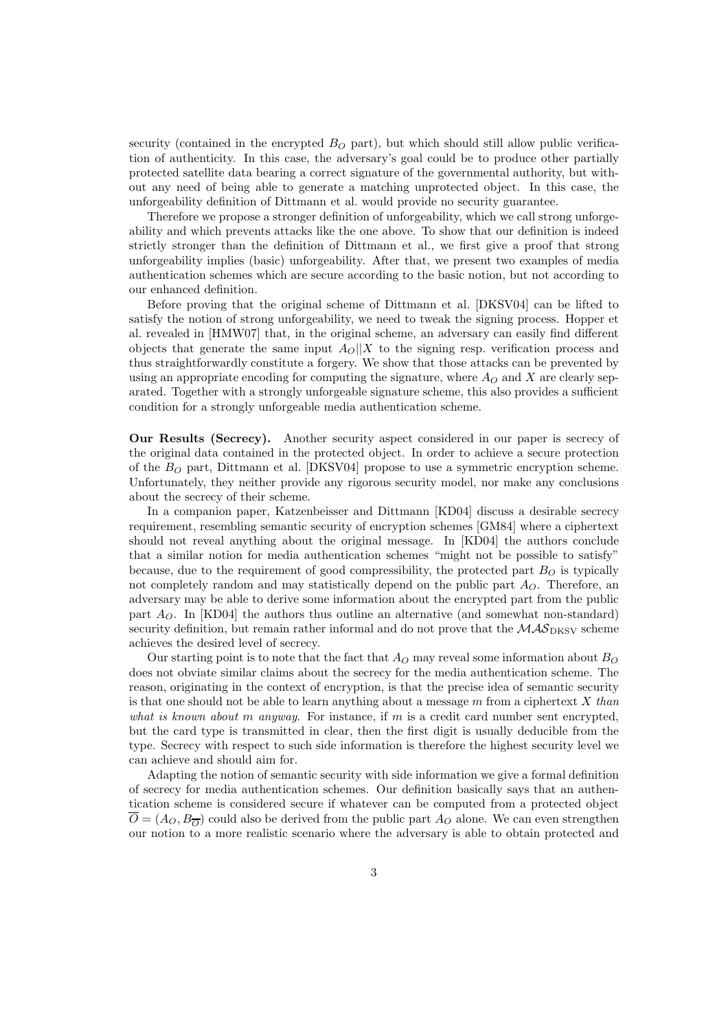security (contained in the encrypted  $B<sub>O</sub>$  part), but which should still allow public verification of authenticity. In this case, the adversary's goal could be to produce other partially protected satellite data bearing a correct signature of the governmental authority, but without any need of being able to generate a matching unprotected object. In this case, the unforgeability definition of Dittmann et al. would provide no security guarantee.

Therefore we propose a stronger definition of unforgeability, which we call strong unforgeability and which prevents attacks like the one above. To show that our definition is indeed strictly stronger than the definition of Dittmann et al., we first give a proof that strong unforgeability implies (basic) unforgeability. After that, we present two examples of media authentication schemes which are secure according to the basic notion, but not according to our enhanced definition.

Before proving that the original scheme of Dittmann et al. [DKSV04] can be lifted to satisfy the notion of strong unforgeability, we need to tweak the signing process. Hopper et al. revealed in [HMW07] that, in the original scheme, an adversary can easily find different objects that generate the same input  $A_O||X$  to the signing resp. verification process and thus straightforwardly constitute a forgery. We show that those attacks can be prevented by using an appropriate encoding for computing the signature, where  $A_O$  and X are clearly separated. Together with a strongly unforgeable signature scheme, this also provides a sufficient condition for a strongly unforgeable media authentication scheme.

Our Results (Secrecy). Another security aspect considered in our paper is secrecy of the original data contained in the protected object. In order to achieve a secure protection of the  $B<sub>O</sub>$  part, Dittmann et al. [DKSV04] propose to use a symmetric encryption scheme. Unfortunately, they neither provide any rigorous security model, nor make any conclusions about the secrecy of their scheme.

In a companion paper, Katzenbeisser and Dittmann [KD04] discuss a desirable secrecy requirement, resembling semantic security of encryption schemes [GM84] where a ciphertext should not reveal anything about the original message. In [KD04] the authors conclude that a similar notion for media authentication schemes "might not be possible to satisfy" because, due to the requirement of good compressibility, the protected part  $B<sub>O</sub>$  is typically not completely random and may statistically depend on the public part  $A<sub>O</sub>$ . Therefore, an adversary may be able to derive some information about the encrypted part from the public part  $A_O$ . In [KD04] the authors thus outline an alternative (and somewhat non-standard) security definition, but remain rather informal and do not prove that the  $\mathcal{M}\mathcal{A}\mathcal{S}_{\rm DKN}$  scheme achieves the desired level of secrecy.

Our starting point is to note that the fact that  $A<sub>O</sub>$  may reveal some information about  $B<sub>O</sub>$ does not obviate similar claims about the secrecy for the media authentication scheme. The reason, originating in the context of encryption, is that the precise idea of semantic security is that one should not be able to learn anything about a message  $m$  from a ciphertext  $X$  than what is known about m anyway. For instance, if m is a credit card number sent encrypted, but the card type is transmitted in clear, then the first digit is usually deducible from the type. Secrecy with respect to such side information is therefore the highest security level we can achieve and should aim for.

Adapting the notion of semantic security with side information we give a formal definition of secrecy for media authentication schemes. Our definition basically says that an authentication scheme is considered secure if whatever can be computed from a protected object  $O = (A_O, B_O^-)$  could also be derived from the public part  $A_O$  alone. We can even strengthen our notion to a more realistic scenario where the adversary is able to obtain protected and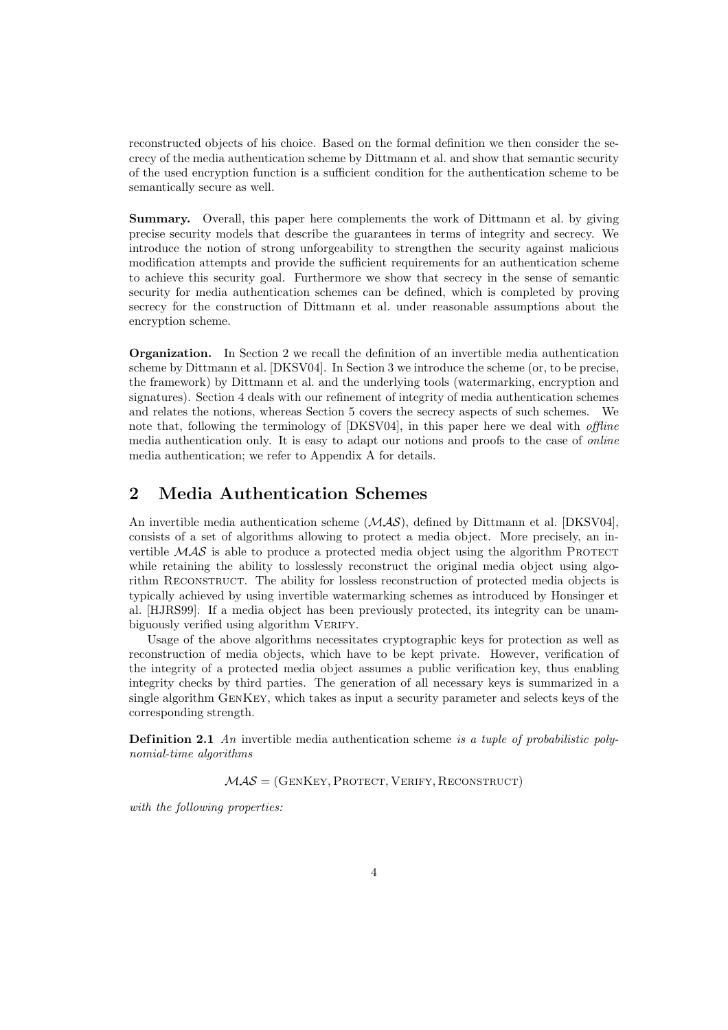reconstructed objects of his choice. Based on the formal definition we then consider the secrecy of the media authentication scheme by Dittmann et al. and show that semantic security of the used encryption function is a sufficient condition for the authentication scheme to be semantically secure as well.

Summary. Overall, this paper here complements the work of Dittmann et al. by giving precise security models that describe the guarantees in terms of integrity and secrecy. We introduce the notion of strong unforgeability to strengthen the security against malicious modification attempts and provide the sufficient requirements for an authentication scheme to achieve this security goal. Furthermore we show that secrecy in the sense of semantic security for media authentication schemes can be defined, which is completed by proving secrecy for the construction of Dittmann et al. under reasonable assumptions about the encryption scheme.

Organization. In Section 2 we recall the definition of an invertible media authentication scheme by Dittmann et al. [DKSV04]. In Section 3 we introduce the scheme (or, to be precise, the framework) by Dittmann et al. and the underlying tools (watermarking, encryption and signatures). Section 4 deals with our refinement of integrity of media authentication schemes and relates the notions, whereas Section 5 covers the secrecy aspects of such schemes. We note that, following the terminology of [DKSV04], in this paper here we deal with *offline* media authentication only. It is easy to adapt our notions and proofs to the case of online media authentication; we refer to Appendix A for details.

# 2 Media Authentication Schemes

An invertible media authentication scheme  $(\mathcal{MAS})$ , defined by Dittmann et al. [DKSV04], consists of a set of algorithms allowing to protect a media object. More precisely, an invertible  $\mathcal{M}\mathcal{A}\mathcal{S}$  is able to produce a protected media object using the algorithm PROTECT while retaining the ability to losslessly reconstruct the original media object using algorithm Reconstruct. The ability for lossless reconstruction of protected media objects is typically achieved by using invertible watermarking schemes as introduced by Honsinger et al. [HJRS99]. If a media object has been previously protected, its integrity can be unambiguously verified using algorithm VERIFY.

Usage of the above algorithms necessitates cryptographic keys for protection as well as reconstruction of media objects, which have to be kept private. However, verification of the integrity of a protected media object assumes a public verification key, thus enabling integrity checks by third parties. The generation of all necessary keys is summarized in a single algorithm GenKey, which takes as input a security parameter and selects keys of the corresponding strength.

**Definition 2.1** An invertible media authentication scheme is a tuple of probabilistic polynomial-time algorithms

 $MAS = (GENKEY, PROTECT, VERIFY, RECONSTRUCT)$ 

with the following properties: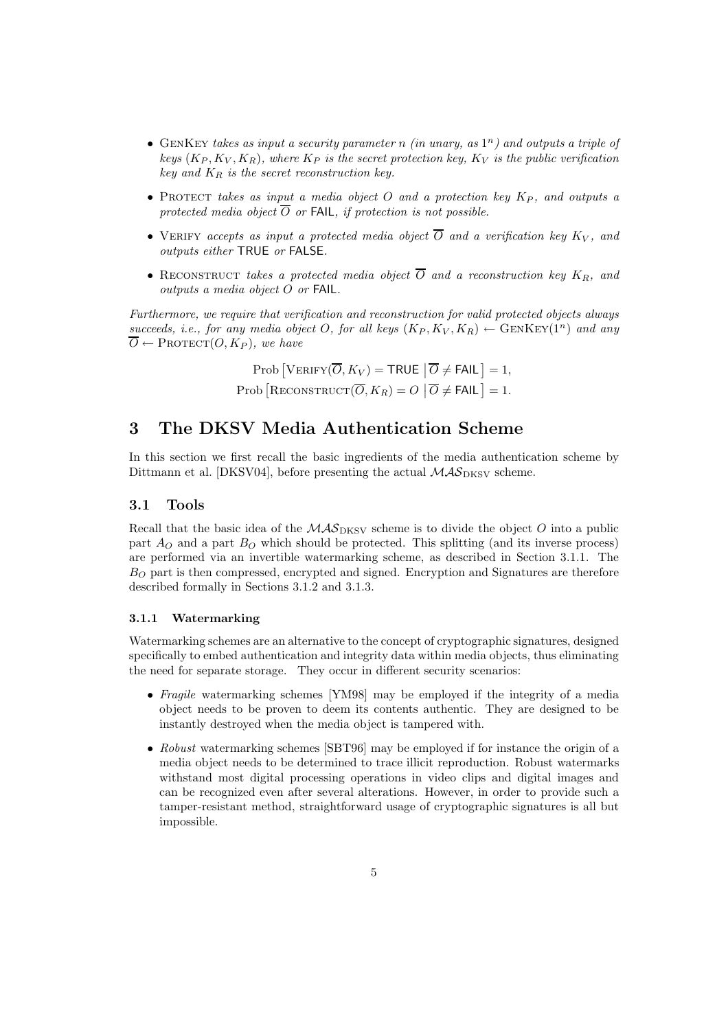- GENKEY takes as input a security parameter n (in unary, as  $1<sup>n</sup>$ ) and outputs a triple of keys  $(K_P, K_V, K_R)$ , where  $K_P$  is the secret protection key,  $K_V$  is the public verification key and  $K_R$  is the secret reconstruction key.
- PROTECT takes as input a media object  $O$  and a protection key  $K_P$ , and outputs a protected media object  $\overline{O}$  or FAIL, if protection is not possible.
- VERIFY accepts as input a protected media object  $\overline{O}$  and a verification key  $K_V$ , and outputs either TRUE or FALSE.
- RECONSTRUCT takes a protected media object  $\overline{O}$  and a reconstruction key  $K_R$ , and outputs a media object O or FAIL.

Furthermore, we require that verification and reconstruction for valid protected objects always succeeds, i.e., for any media object O, for all keys  $(K_P, K_V, K_R) \leftarrow \text{GENKEY}(1^n)$  and any  $\overline{O} \leftarrow \text{PROTECT}(O, K_P),$  we have

> $\mathrm{Prob}\left[\mathrm{VERIFY}(\overline{O}, K_V) = \mathsf{TRUE} \,\big|\, \overline{O} \neq \mathsf{FAIL} \right] = 1,$ Prob  $\left[\text{RECONSTRUCT}(\overline{O}, K_R) = O \mid \overline{O} \neq \text{FAIL}\right] = 1.$

# 3 The DKSV Media Authentication Scheme

In this section we first recall the basic ingredients of the media authentication scheme by Dittmann et al. [DKSV04], before presenting the actual  $\mathcal{M}\mathcal{A}\mathcal{S}_{\text{DKSV}}$  scheme.

#### 3.1 Tools

Recall that the basic idea of the  $MAS_{\rm DISV}$  scheme is to divide the object O into a public part  $A_O$  and a part  $B_O$  which should be protected. This splitting (and its inverse process) are performed via an invertible watermarking scheme, as described in Section 3.1.1. The  $B<sub>O</sub>$  part is then compressed, encrypted and signed. Encryption and Signatures are therefore described formally in Sections 3.1.2 and 3.1.3.

#### 3.1.1 Watermarking

Watermarking schemes are an alternative to the concept of cryptographic signatures, designed specifically to embed authentication and integrity data within media objects, thus eliminating the need for separate storage. They occur in different security scenarios:

- Fragile watermarking schemes [YM98] may be employed if the integrity of a media object needs to be proven to deem its contents authentic. They are designed to be instantly destroyed when the media object is tampered with.
- Robust watermarking schemes [SBT96] may be employed if for instance the origin of a media object needs to be determined to trace illicit reproduction. Robust watermarks withstand most digital processing operations in video clips and digital images and can be recognized even after several alterations. However, in order to provide such a tamper-resistant method, straightforward usage of cryptographic signatures is all but impossible.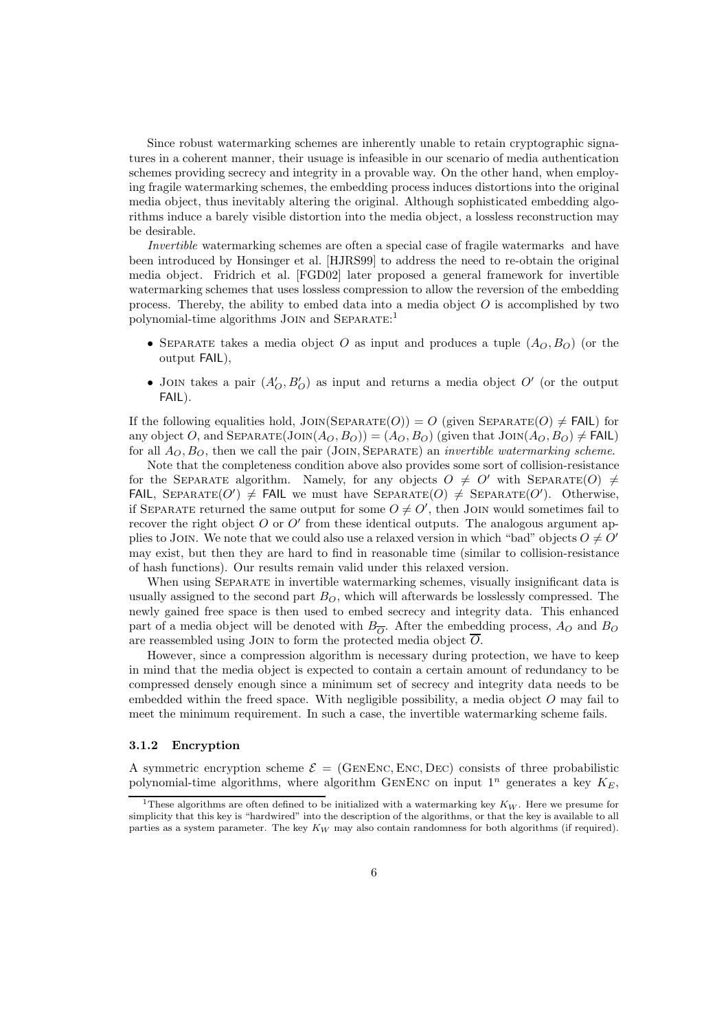Since robust watermarking schemes are inherently unable to retain cryptographic signatures in a coherent manner, their usuage is infeasible in our scenario of media authentication schemes providing secrecy and integrity in a provable way. On the other hand, when employing fragile watermarking schemes, the embedding process induces distortions into the original media object, thus inevitably altering the original. Although sophisticated embedding algorithms induce a barely visible distortion into the media object, a lossless reconstruction may be desirable.

Invertible watermarking schemes are often a special case of fragile watermarks and have been introduced by Honsinger et al. [HJRS99] to address the need to re-obtain the original media object. Fridrich et al. [FGD02] later proposed a general framework for invertible watermarking schemes that uses lossless compression to allow the reversion of the embedding process. Thereby, the ability to embed data into a media object  $O$  is accomplished by two polynomial-time algorithms JOIN and SEPARATE:<sup>1</sup>

- SEPARATE takes a media object O as input and produces a tuple  $(A_O, B_O)$  (or the output FAIL),
- JOIN takes a pair  $(A'_{\mathcal{O}}, B'_{\mathcal{O}})$  as input and returns a media object  $O'$  (or the output FAIL).

If the following equalities hold,  $\text{Join}(\text{SEPARATE}(O)) = O$  (given  $\text{SEPARATE}(O) \neq \text{FAL}$ ) for any object O, and SEPARATE(JOIN $(A_O, B_O)$ ) =  $(A_O, B_O)$  (given that JOIN $(A_O, B_O) \neq$  FAIL) for all  $A_O$ ,  $B_O$ , then we call the pair (JOIN, SEPARATE) an *invertible watermarking scheme*.

Note that the completeness condition above also provides some sort of collision-resistance for the SEPARATE algorithm. Namely, for any objects  $O \neq O'$  with SEPARATE(O)  $\neq$ FAIL, SEPARATE(O')  $\neq$  FAIL we must have SEPARATE(O)  $\neq$  SEPARATE(O'). Otherwise, if SEPARATE returned the same output for some  $O \neq O'$ , then JOIN would sometimes fail to recover the right object  $O$  or  $O'$  from these identical outputs. The analogous argument applies to JOIN. We note that we could also use a relaxed version in which "bad" objects  $O \neq O'$ may exist, but then they are hard to find in reasonable time (similar to collision-resistance of hash functions). Our results remain valid under this relaxed version.

When using Separate in invertible watermarking schemes, visually insignificant data is usually assigned to the second part  $B<sub>O</sub>$ , which will afterwards be losslessly compressed. The newly gained free space is then used to embed secrecy and integrity data. This enhanced part of a media object will be denoted with  $B_{\overline{O}}$ . After the embedding process,  $A_O$  and  $B_O$ are reassembled using JOIN to form the protected media object  $\overline{O}$ .

However, since a compression algorithm is necessary during protection, we have to keep in mind that the media object is expected to contain a certain amount of redundancy to be compressed densely enough since a minimum set of secrecy and integrity data needs to be embedded within the freed space. With negligible possibility, a media object O may fail to meet the minimum requirement. In such a case, the invertible watermarking scheme fails.

#### 3.1.2 Encryption

A symmetric encryption scheme  $\mathcal{E} = (\text{GENENC}, \text{Enc}, \text{Dec})$  consists of three probabilistic polynomial-time algorithms, where algorithm GENENC on input  $1^n$  generates a key  $K_E$ ,

<sup>&</sup>lt;sup>1</sup>These algorithms are often defined to be initialized with a watermarking key  $K_W$ . Here we presume for simplicity that this key is "hardwired" into the description of the algorithms, or that the key is available to all parties as a system parameter. The key  $K_W$  may also contain randomness for both algorithms (if required).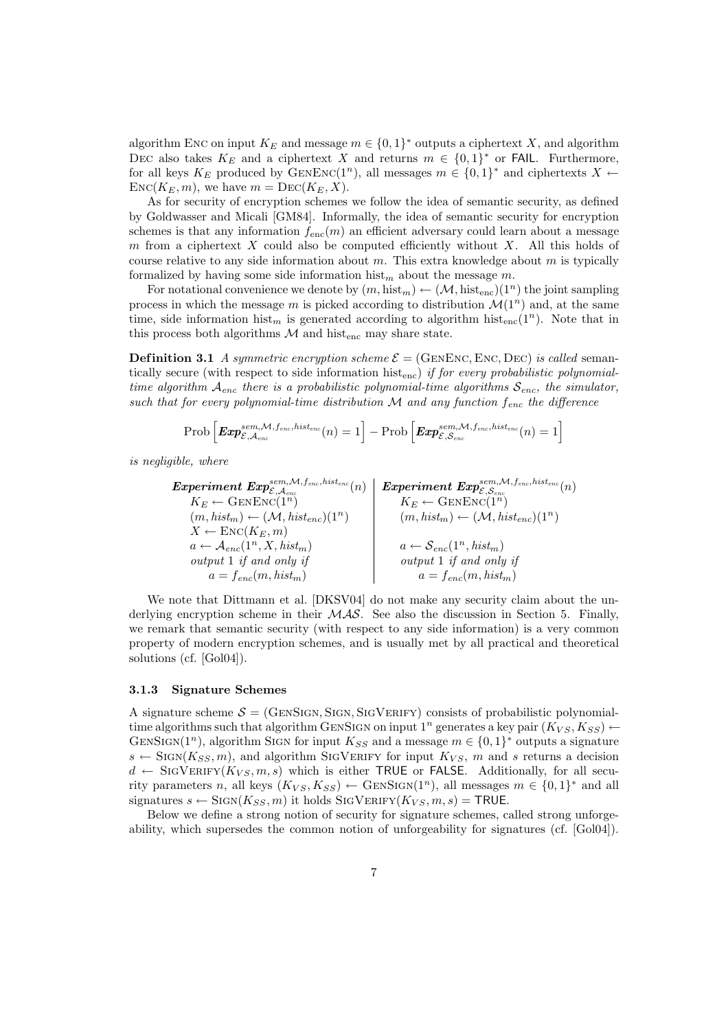algorithm ENC on input  $K_E$  and message  $m \in \{0,1\}^*$  outputs a ciphertext X, and algorithm DEC also takes  $K_E$  and a ciphertext X and returns  $m \in \{0,1\}^*$  or FAIL. Furthermore, for all keys  $K_E$  produced by GENENC(1<sup>n</sup>), all messages  $m \in \{0,1\}^*$  and ciphertexts  $X \leftarrow$  $\text{Enc}(K_E, m)$ , we have  $m = \text{Dec}(K_E, X)$ .

As for security of encryption schemes we follow the idea of semantic security, as defined by Goldwasser and Micali [GM84]. Informally, the idea of semantic security for encryption schemes is that any information  $f_{\text{enc}}(m)$  an efficient adversary could learn about a message  $m$  from a ciphertext  $X$  could also be computed efficiently without  $X$ . All this holds of course relative to any side information about  $m$ . This extra knowledge about  $m$  is typically formalized by having some side information hist<sub>m</sub> about the message m.

For notational convenience we denote by  $(m, hist_m) \leftarrow (\mathcal{M}, hist_{enc})(1^n)$  the joint sampling process in which the message m is picked according to distribution  $\mathcal{M}(1^n)$  and, at the same time, side information hist<sub>m</sub> is generated according to algorithm hist<sub>enc</sub>(1<sup>n</sup>). Note that in this process both algorithms  $M$  and hist<sub>enc</sub> may share state.

**Definition 3.1** A symmetric encryption scheme  $\mathcal{E} = (GENENC, Enc, Dec)$  is called semantically secure (with respect to side information hist<sub>enc</sub>) if for every probabilistic polynomialtime algorithm  $A_{enc}$  there is a probabilistic polynomial-time algorithms  $S_{enc}$ , the simulator, such that for every polynomial-time distribution  $\mathcal M$  and any function  $f_{enc}$  the difference

$$
\textrm{Prob}\left[\boldsymbol{Exp}^{sem, \mathcal{M}, f_{enc}, hist_{enc}}_{\mathcal{E}, \mathcal{A}_{enc}}(n) = 1 \right] - \textrm{Prob}\left[\boldsymbol{Exp}^{sem, \mathcal{M}, f_{enc}, hist_{enc}}_{\mathcal{E}, \mathcal{S}_{enc}}(n) = 1 \right]
$$

is negligible, where

| Experiment $Exp_{\mathcal{E},\mathcal{A}_{enc}}^{sem, \mathcal{M}, f_{enc}, hist_{enc}}(n)$ | Experiment $Exp_{\mathcal{E},\mathcal{S}_{enc}}^{sem, \mathcal{M}, f_{enc}, hist_{enc}}(n)$ |                          |
|---------------------------------------------------------------------------------------------|---------------------------------------------------------------------------------------------|--------------------------|
| $K_E \leftarrow$ GENENC(1 <sup>n</sup> )                                                    | $K_E \leftarrow$ GENENC(1 <sup>n</sup> )                                                    |                          |
| $(m, hist_m) \leftarrow (\mathcal{M}, hist_{enc})(1^n)$                                     | $(m, hist_m) \leftarrow (\mathcal{M}, hist_{enc})(1^n)$                                     |                          |
| $X \leftarrow$ ENC(K_E, m)                                                                  | $a \leftarrow \mathcal{S}_{enc}(1^n, hist_m)$                                               |                          |
| $output 1$ if and only if                                                                   | $a = f_{enc}(m, hist_m)$                                                                    | $a = f_{enc}(m, hist_m)$ |

We note that Dittmann et al. [DKSV04] do not make any security claim about the underlying encryption scheme in their  $MAS$ . See also the discussion in Section 5. Finally, we remark that semantic security (with respect to any side information) is a very common property of modern encryption schemes, and is usually met by all practical and theoretical solutions (cf. [Gol04]).

#### 3.1.3 Signature Schemes

A signature scheme  $S = (GENSIGN, SIGVERIFY)$  consists of probabilistic polynomialtime algorithms such that algorithm GENSIGN on input  $1^n$  generates a key pair  $(K_{VS}, K_{SS})$   $\leftarrow$ GENSIGN(1<sup>n</sup>), algorithm SIGN for input  $K_{SS}$  and a message  $m \in \{0,1\}^*$  outputs a signature  $s \leftarrow$  SIGN( $K_{SS}, m$ ), and algorithm SIGVERIFY for input  $K_{VS}, m$  and s returns a decision  $d \leftarrow$  SIGVERIFY( $K_{VS}, m, s$ ) which is either TRUE or FALSE. Additionally, for all security parameters n, all keys  $(K_{VS}, K_{SS}) \leftarrow$  GENSIGN(1<sup>n</sup>), all messages  $m \in \{0, 1\}^*$  and all signatures  $s \leftarrow$  SIGN( $K_{SS}, m$ ) it holds SIGVERIFY( $K_{VS}, m, s$ ) = TRUE.

Below we define a strong notion of security for signature schemes, called strong unforgeability, which supersedes the common notion of unforgeability for signatures (cf. [Gol04]).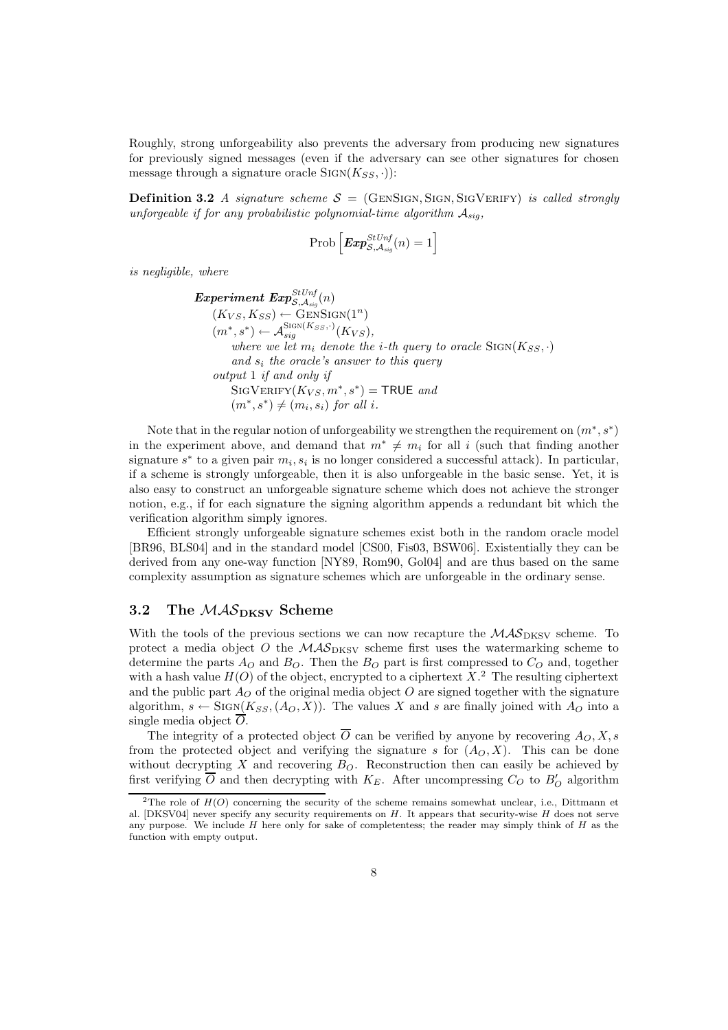Roughly, strong unforgeability also prevents the adversary from producing new signatures for previously signed messages (even if the adversary can see other signatures for chosen message through a signature oracle  $\text{Sign}(K_{SS}, \cdot)$ :

**Definition 3.2** A signature scheme  $S = (GENSIGN, SIGVERIFY)$  is called strongly unforgeable if for any probabilistic polynomial-time algorithm  $A_{sia}$ ,

$$
\textrm{Prob}\left[\textbf{\textit{Exp}}_{\mathcal{S}, \mathcal{A}_{sig}}^{\mathcal{StUnf}}(n)=1\right]
$$

is negligible, where

 $\boldsymbol{Experiment\;Exp}_{\mathcal{S},\mathcal{A}_{sig}}^{StUnf}(n)$  $(K_{VS}, K_{SS}) \leftarrow \widehat{\text{GENSIGN}}(1^n)$  $(m^*, s^*) \leftarrow \mathcal{A}_{sig}^{\text{SIGN}(K_{SS}, \cdot)}(K_{VS}),$ where we let  $m_i$  denote the *i*-th query to oracle  $SIGN(K_{SS}, \cdot)$ and  $s_i$  the oracle's answer to this query output 1 if and only if  $SIGVERIFY(K_{VS}, m^*, s^*) = \textsf{TRUE}$  and  $(m^*, s^*) \neq (m_i, s_i)$  for all i.

Note that in the regular notion of unforgeability we strengthen the requirement on  $(m^*, s^*)$ in the experiment above, and demand that  $m^* \neq m_i$  for all i (such that finding another signature  $s^*$  to a given pair  $m_i, s_i$  is no longer considered a successful attack). In particular, if a scheme is strongly unforgeable, then it is also unforgeable in the basic sense. Yet, it is also easy to construct an unforgeable signature scheme which does not achieve the stronger notion, e.g., if for each signature the signing algorithm appends a redundant bit which the verification algorithm simply ignores.

Efficient strongly unforgeable signature schemes exist both in the random oracle model [BR96, BLS04] and in the standard model [CS00, Fis03, BSW06]. Existentially they can be derived from any one-way function [NY89, Rom90, Gol04] and are thus based on the same complexity assumption as signature schemes which are unforgeable in the ordinary sense.

### 3.2 The  $MAS$ <sub>DKSV</sub> Scheme

With the tools of the previous sections we can now recapture the  $\mathcal{M}\mathcal{A}\mathcal{S}_{\rm DKSV}$  scheme. To protect a media object O the  $MAS_{\text{DKSV}}$  scheme first uses the watermarking scheme to determine the parts  $A_O$  and  $B_O$ . Then the  $B_O$  part is first compressed to  $C_O$  and, together with a hash value  $H(O)$  of the object, encrypted to a ciphertext  $X<sup>2</sup>$ . The resulting ciphertext and the public part  $A_O$  of the original media object O are signed together with the signature algorithm,  $s \leftarrow$  SIGN( $K_{SS}$ ,  $(A_O, X)$ ). The values X and s are finally joined with  $A_O$  into a single media object  $\overline{O}$ .

The integrity of a protected object  $\overline{O}$  can be verified by anyone by recovering  $A_O, X, s$ from the protected object and verifying the signature s for  $(A<sub>O</sub>, X)$ . This can be done without decrypting  $X$  and recovering  $B<sub>O</sub>$ . Reconstruction then can easily be achieved by first verifying  $\overline{O}$  and then decrypting with  $K_E$ . After uncompressing  $C_O$  to  $B_O'$  algorithm

<sup>&</sup>lt;sup>2</sup>The role of  $H(O)$  concerning the security of the scheme remains somewhat unclear, i.e., Dittmann et al. [DKSV04] never specify any security requirements on  $H$ . It appears that security-wise  $H$  does not serve any purpose. We include  $H$  here only for sake of completentess; the reader may simply think of  $H$  as the function with empty output.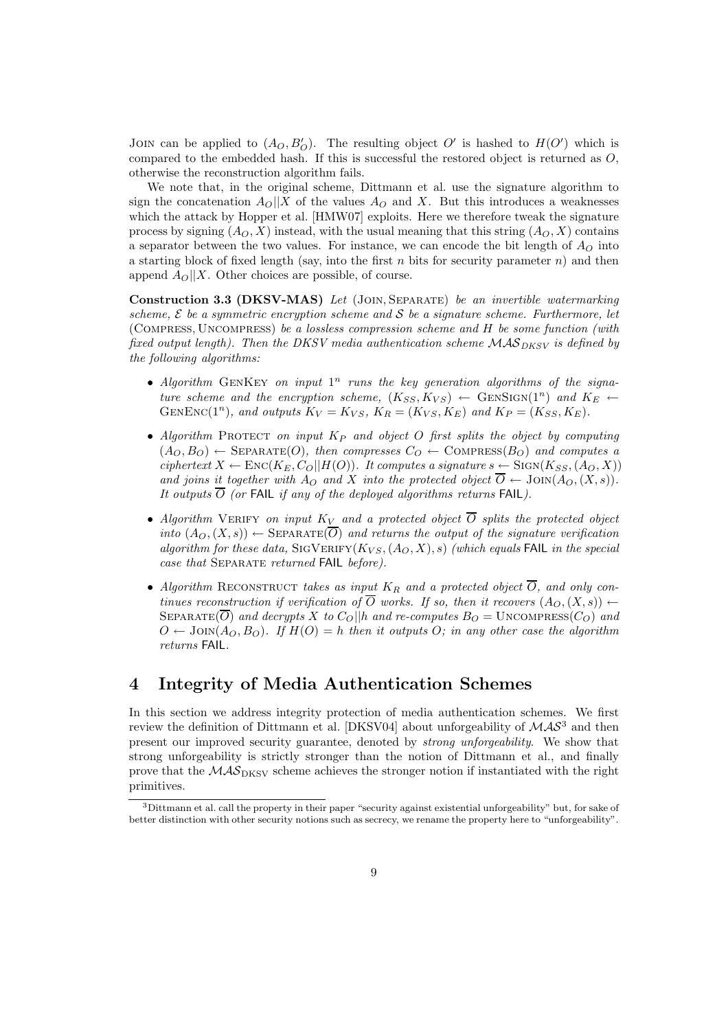JOIN can be applied to  $(A_O, B_O')$ . The resulting object O' is hashed to  $H(O')$  which is compared to the embedded hash. If this is successful the restored object is returned as O, otherwise the reconstruction algorithm fails.

We note that, in the original scheme, Dittmann et al. use the signature algorithm to sign the concatenation  $A_O||X$  of the values  $A_O$  and X. But this introduces a weaknesses which the attack by Hopper et al. [HMW07] exploits. Here we therefore tweak the signature process by signing  $(A_O, X)$  instead, with the usual meaning that this string  $(A_O, X)$  contains a separator between the two values. For instance, we can encode the bit length of  $A<sub>O</sub>$  into a starting block of fixed length (say, into the first  $n$  bits for security parameter  $n$ ) and then append  $A_O||X$ . Other choices are possible, of course.

Construction 3.3 (DKSV-MAS) Let (Join, Separate) be an invertible watermarking scheme,  $\mathcal E$  be a symmetric encryption scheme and  $\mathcal S$  be a signature scheme. Furthermore, let (Compress, Uncompress) be a lossless compression scheme and H be some function (with fixed output length). Then the DKSV media authentication scheme  $MAS_{DKSV}$  is defined by the following algorithms:

- Algorithm GENKEY on input  $1^n$  runs the key generation algorithms of the signature scheme and the encryption scheme,  $(K_{SS}, K_{VS}) \leftarrow$  GENSIGN(1<sup>n</sup>) and  $K_E \leftarrow$ GENENC(1<sup>n</sup>), and outputs  $K_V = K_{VS}$ ,  $K_R = (K_{VS}, K_E)$  and  $K_P = (K_{SS}, K_E)$ .
- Algorithm PROTECT on input  $K_P$  and object O first splits the object by computing  $(A_O, B_O) \leftarrow$  SEPARATE(O), then compresses  $C_O \leftarrow$  COMPRESS( $B_O$ ) and computes a ciphertext  $X \leftarrow \text{Enc}(K_E, C_O||H(O))$ . It computes a signature  $s \leftarrow \text{Sign}(K_{SS}, (A_O, X))$ and joins it together with  $A_O$  and X into the protected object  $\overline{O} \leftarrow \text{Join}(A_O,(X,s)).$ It outputs  $\overline{O}$  (or FAIL if any of the deployed algorithms returns FAIL).
- Algorithm VERIFY on input  $K_V$  and a protected object  $\overline{O}$  splits the protected object into  $(A_O,(X,s)) \leftarrow \text{SEPARATE}(\overline{O})$  and returns the output of the signature verification algorithm for these data, SIGVERIFY( $K_{VS}$ ,  $(A_O, X)$ , s) (which equals FAIL in the special case that SEPARATE returned FAIL before).
- Algorithm RECONSTRUCT takes as input  $K_R$  and a protected object  $\overline{O}$ , and only continues reconstruction if verification of  $\overline{O}$  works. If so, then it recovers  $(A_O,(X,s))$   $\leftarrow$ SEPARATE( $\overline{O}$ ) and decrypts X to  $C_O$ ||h and re-computes  $B_O = \text{UNCOMPRES}(C_O)$  and  $O \leftarrow$  JOIN( $A_O, B_O$ ). If  $H(O) = h$  then it outputs O; in any other case the algorithm returns FAIL.

## 4 Integrity of Media Authentication Schemes

In this section we address integrity protection of media authentication schemes. We first review the definition of Dittmann et al. [DKSV04] about unforgeability of  $\mathcal{M}\mathcal{A}\mathcal{S}^3$  and then present our improved security guarantee, denoted by strong unforgeability. We show that strong unforgeability is strictly stronger than the notion of Dittmann et al., and finally prove that the  $MAS$ <sub>DKSV</sub> scheme achieves the stronger notion if instantiated with the right primitives.

 $3$ Dittmann et al. call the property in their paper "security against existential unforgeability" but, for sake of better distinction with other security notions such as secrecy, we rename the property here to "unforgeability".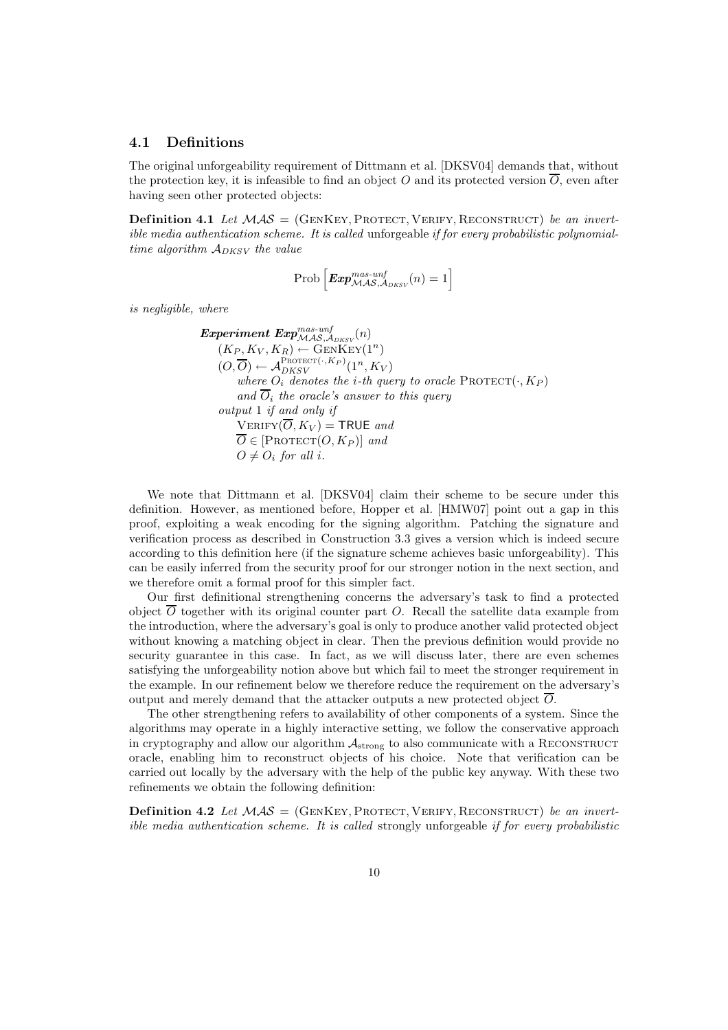#### 4.1 Definitions

The original unforgeability requirement of Dittmann et al. [DKSV04] demands that, without the protection key, it is infeasible to find an object O and its protected version  $\overline{O}$ , even after having seen other protected objects:

**Definition 4.1** Let  $MAS = (GENKEY, PROTECT, VERIFY, RECONSTRUCT)$  be an invertible media authentication scheme. It is called unforgeable if for every probabilistic polynomialtime algorithm  $A_{DKSV}$  the value

$$
Prob\left[ \textit{Exp}_{\mathcal{MAS},\mathcal{A}_{DKSV}}^{mas-unf}(n) = 1 \right]
$$

is negligible, where

 $\boldsymbol{Experiment\ Exp}_{\mathcal{MAS},\mathcal{A}_{DKSV}}^{mas-unf}(n)$  $(K_P, K_V, K_R) \leftarrow \text{GENKer}(1^n)$  $(O,\overline{O}) \leftarrow \mathcal{A}_{DKSV}^{\text{ProTECT}(\cdot,K_{P})}(1^{n},K_{V})$ where  $O_i$  denotes the *i*-th query to oracle PROTECT $(\cdot, K_P)$ and  $\overline{O}_i$  the oracle's answer to this query output 1 if and only if  $VERIFY(\overline{O}, K_V) = \textsf{TRUE}$  and  $\overline{O} \in [\text{ProTECT}(O, K_P)]$  and  $O \neq O_i$  for all i.

We note that Dittmann et al. [DKSV04] claim their scheme to be secure under this definition. However, as mentioned before, Hopper et al. [HMW07] point out a gap in this proof, exploiting a weak encoding for the signing algorithm. Patching the signature and verification process as described in Construction 3.3 gives a version which is indeed secure according to this definition here (if the signature scheme achieves basic unforgeability). This can be easily inferred from the security proof for our stronger notion in the next section, and we therefore omit a formal proof for this simpler fact.

Our first definitional strengthening concerns the adversary's task to find a protected object  $\overline{O}$  together with its original counter part O. Recall the satellite data example from the introduction, where the adversary's goal is only to produce another valid protected object without knowing a matching object in clear. Then the previous definition would provide no security guarantee in this case. In fact, as we will discuss later, there are even schemes satisfying the unforgeability notion above but which fail to meet the stronger requirement in the example. In our refinement below we therefore reduce the requirement on the adversary's output and merely demand that the attacker outputs a new protected object O.

The other strengthening refers to availability of other components of a system. Since the algorithms may operate in a highly interactive setting, we follow the conservative approach in cryptography and allow our algorithm  $A_{\text{strong}}$  to also communicate with a RECONSTRUCT oracle, enabling him to reconstruct objects of his choice. Note that verification can be carried out locally by the adversary with the help of the public key anyway. With these two refinements we obtain the following definition:

Definition 4.2 Let  $MAS = (GENKEY, PROTECT, VERIFY, RECONSTRUCT)$  be an invertible media authentication scheme. It is called strongly unforgeable if for every probabilistic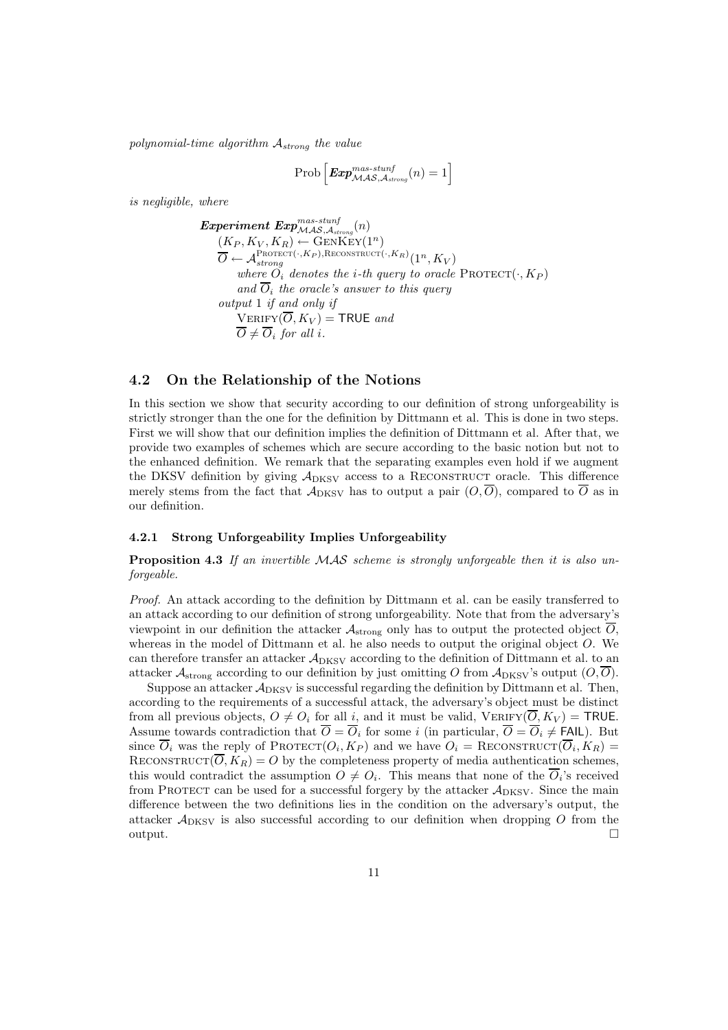polynomial-time algorithm  $A_{strong}$  the value

$$
\text{Prob}\left[\textit{\textbf{Exp}}_{\mathcal{MAS},\mathcal{A}_{strong}}^{mas-stunf}(n)=1\right]
$$

is negligible, where

 $\textit{Experiment}\ \textit{Exp}_{\mathcal{MAS}, \mathcal{A}_{strong}}^{mas-stunf}(n)$  $(K_P, K_V, K_R) \leftarrow \widetilde{\text{GenKer}}(1^n)$  $\overline{O} \leftarrow \mathcal{A}_{strong}^{\text{PROTECT}(\cdot, K_P), \text{RECONSTRUCT}(\cdot, K_R)} (1^n, K_V)$ where  $O_i$  denotes the *i*-th query to oracle PROTECT( $\cdot$ ,  $K_P$ ) and  $\overline{O}_i$  the oracle's answer to this query output 1 if and only if  $VERIFY(\overline{O}, K_V) = \text{TRUE}$  and  $\overline{O} \neq \overline{O}_i$  for all i.

#### 4.2 On the Relationship of the Notions

In this section we show that security according to our definition of strong unforgeability is strictly stronger than the one for the definition by Dittmann et al. This is done in two steps. First we will show that our definition implies the definition of Dittmann et al. After that, we provide two examples of schemes which are secure according to the basic notion but not to the enhanced definition. We remark that the separating examples even hold if we augment the DKSV definition by giving  $\mathcal{A}_{\text{DKSV}}$  access to a RECONSTRUCT oracle. This difference merely stems from the fact that  $\mathcal{A}_{\text{DKSV}}$  has to output a pair  $(O,\overline{O})$ , compared to  $\overline{O}$  as in our definition.

#### 4.2.1 Strong Unforgeability Implies Unforgeability

Proposition 4.3 If an invertible MAS scheme is strongly unforgeable then it is also unforgeable.

Proof. An attack according to the definition by Dittmann et al. can be easily transferred to an attack according to our definition of strong unforgeability. Note that from the adversary's viewpoint in our definition the attacker  $\mathcal{A}_{\text{strong}}$  only has to output the protected object  $\overline{O}$ , whereas in the model of Dittmann et al. he also needs to output the original object O. We can therefore transfer an attacker  $\mathcal{A}_{\text{DKSV}}$  according to the definition of Dittmann et al. to an attacker  $\mathcal{A}_{\text{strong}}$  according to our definition by just omitting O from  $\mathcal{A}_{\text{DKSV}}$ 's output  $(O,\overline{O})$ .

Suppose an attacker  $A_{DKSV}$  is successful regarding the definition by Dittmann et al. Then, according to the requirements of a successful attack, the adversary's object must be distinct from all previous objects,  $O \neq O_i$  for all i, and it must be valid,  $VERIFY(\overline{O}, K_V) = TRUE$ . Assume towards contradiction that  $\overline{O} = \overline{O}_i$  for some i (in particular,  $\overline{O} = \overline{O}_i \neq \text{FAll}$ ). But since  $\overline{O}_i$  was the reply of PROTECT $(O_i, K_P)$  and we have  $O_i =$  RECONSTRUCT $(\overline{O}_i, K_R) =$ RECONSTRUCT( $\overline{O}, K_R$ ) = O by the completeness property of media authentication schemes, this would contradict the assumption  $O \neq O_i$ . This means that none of the  $O_i$ 's received from PROTECT can be used for a successful forgery by the attacker  $\mathcal{A}_{DKSV}$ . Since the main difference between the two definitions lies in the condition on the adversary's output, the attacker  $A_{\text{DKSV}}$  is also successful according to our definition when dropping O from the  $\Box$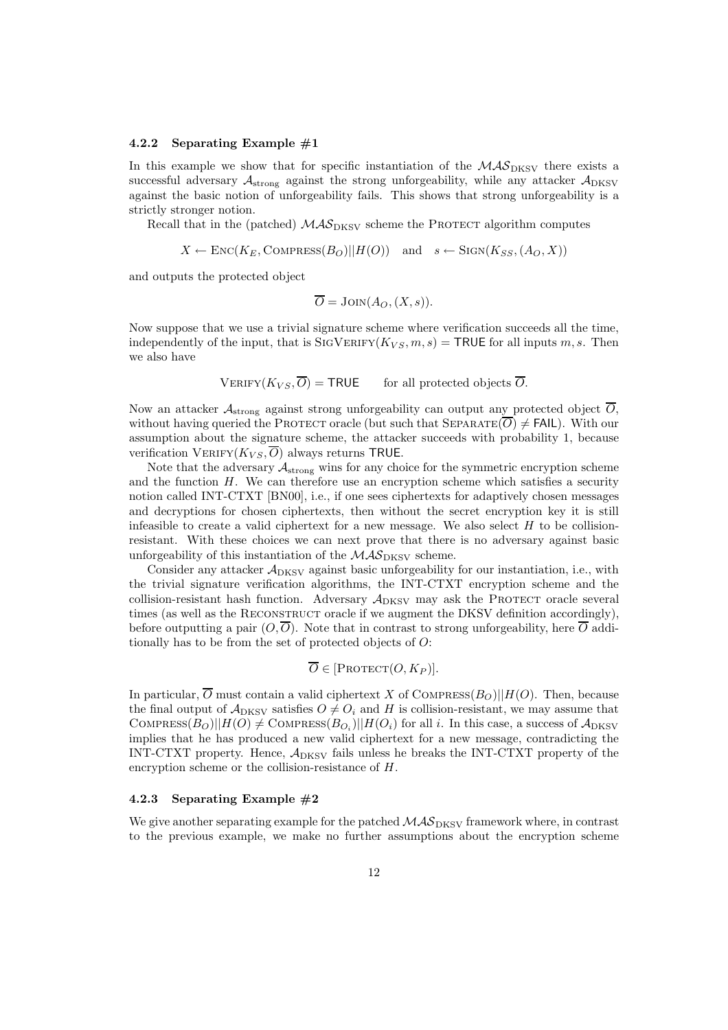#### 4.2.2 Separating Example #1

In this example we show that for specific instantiation of the  $MAS_{\rm DKSV}$  there exists a successful adversary  $A_{\text{strong}}$  against the strong unforgeability, while any attacker  $A_{\text{DKSV}}$ against the basic notion of unforgeability fails. This shows that strong unforgeability is a strictly stronger notion.

Recall that in the (patched)  $\mathcal{M}\mathcal{A}\mathcal{S}_{\text{DKSV}}$  scheme the PROTECT algorithm computes

$$
X \leftarrow \text{ENC}(K_E, \text{COMPRESS}(B_O)||H(O))
$$
 and  $s \leftarrow \text{Sign}(K_{SS}, (A_O, X))$ 

and outputs the protected object

$$
\overline{O} = \text{Join}(A_O, (X, s)).
$$

Now suppose that we use a trivial signature scheme where verification succeeds all the time, independently of the input, that is  $SIGVERIFY(K_{VS}, m, s) = TRUE$  for all inputs m, s. Then we also have

 $VERIFY(K_{VS}, \overline{O}) = \text{TRUE}$  for all protected objects  $\overline{O}$ .

Now an attacker  $\mathcal{A}_{\text{strong}}$  against strong unforgeability can output any protected object  $\overline{O}$ , without having queried the PROTECT oracle (but such that  $\text{SEPARATE}(\overline{O}) \neq \text{FAIL}$ ). With our assumption about the signature scheme, the attacker succeeds with probability 1, because verification VERIFY( $K_{VS}$ ,  $\overline{O}$ ) always returns TRUE.

Note that the adversary  $\mathcal{A}_{\text{strong}}$  wins for any choice for the symmetric encryption scheme and the function  $H$ . We can therefore use an encryption scheme which satisfies a security notion called INT-CTXT [BN00], i.e., if one sees ciphertexts for adaptively chosen messages and decryptions for chosen ciphertexts, then without the secret encryption key it is still infeasible to create a valid ciphertext for a new message. We also select  $H$  to be collisionresistant. With these choices we can next prove that there is no adversary against basic unforgeability of this instantiation of the  $MAS<sub>DKSV</sub>$  scheme.

Consider any attacker  $\mathcal{A}_{\text{DKSV}}$  against basic unforgeability for our instantiation, i.e., with the trivial signature verification algorithms, the INT-CTXT encryption scheme and the collision-resistant hash function. Adversary  $\mathcal{A}_{\text{DKSV}}$  may ask the PROTECT oracle several times (as well as the RECONSTRUCT oracle if we augment the DKSV definition accordingly), before outputting a pair  $(O, \overline{O})$ . Note that in contrast to strong unforgeability, here  $\overline{O}$  additionally has to be from the set of protected objects of O:

$$
\overline{O} \in [\text{ProTECT}(O, K_P)].
$$

In particular,  $\overline{O}$  must contain a valid ciphertext X of COMPRESS( $B_O$ )|| $H(O)$ . Then, because the final output of  $\mathcal{A}_{\text{DKSV}}$  satisfies  $O \neq O_i$  and H is collision-resistant, we may assume that COMPRESS $(B_O)||H(O) \neq$  COMPRESS $(B_O_i)||H(O_i)$  for all i. In this case, a success of  $\mathcal{A}_{\text{DKSV}}$ implies that he has produced a new valid ciphertext for a new message, contradicting the INT-CTXT property. Hence, ADKSV fails unless he breaks the INT-CTXT property of the encryption scheme or the collision-resistance of H.

#### 4.2.3 Separating Example #2

We give another separating example for the patched  $\mathcal{M}\mathcal{A}\mathcal{S}_{\rm DKN}$  framework where, in contrast to the previous example, we make no further assumptions about the encryption scheme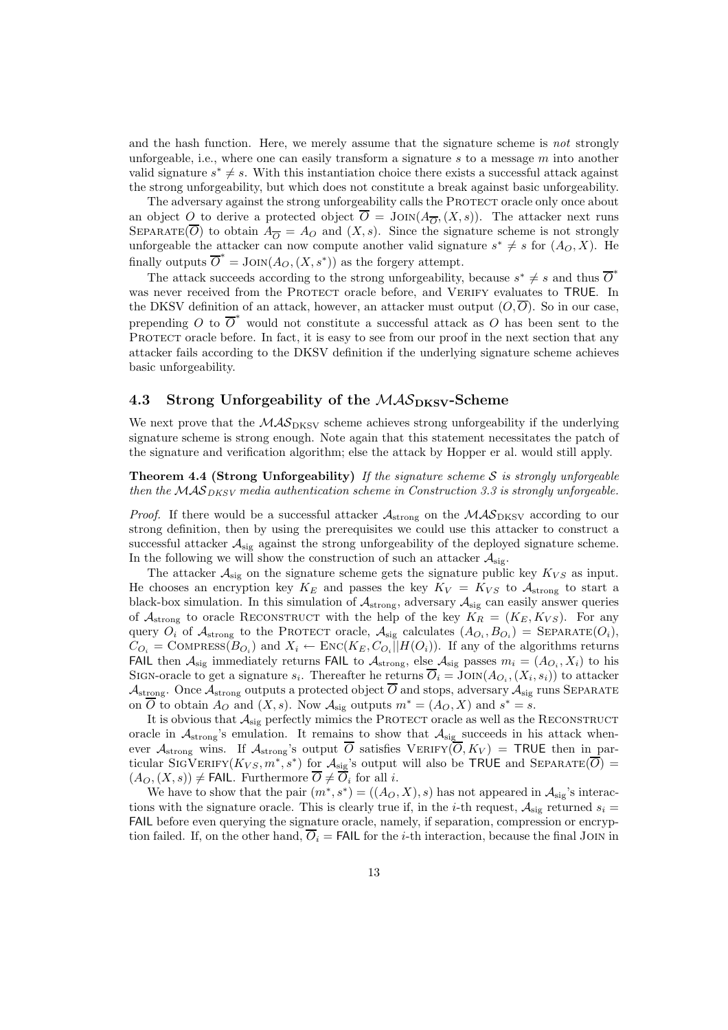and the hash function. Here, we merely assume that the signature scheme is not strongly unforgeable, i.e., where one can easily transform a signature s to a message  $m$  into another valid signature  $s^* \neq s$ . With this instantiation choice there exists a successful attack against the strong unforgeability, but which does not constitute a break against basic unforgeability.

The adversary against the strong unforgeability calls the PROTECT oracle only once about an object O to derive a protected object  $\overline{O} = \text{Join}(A_{\overline{O}},(X,s))$ . The attacker next runs SEPARATE( $\overline{O}$ ) to obtain  $A_{\overline{O}} = A_O$  and  $(X, s)$ . Since the signature scheme is not strongly unforgeable the attacker can now compute another valid signature  $s^* \neq s$  for  $(A_O, X)$ . He finally outputs  $\overline{O}^* = \text{Join}(A_O, (X, s^*))$  as the forgery attempt.

The attack succeeds according to the strong unforgeability, because  $s^* \neq s$  and thus  $\overline{O}^*$ was never received from the PROTECT oracle before, and VERIFY evaluates to TRUE. In the DKSV definition of an attack, however, an attacker must output  $(O,\overline{O})$ . So in our case, prepending O to  $\overline{O}^*$  would not constitute a successful attack as O has been sent to the PROTECT oracle before. In fact, it is easy to see from our proof in the next section that any attacker fails according to the DKSV definition if the underlying signature scheme achieves basic unforgeability.

### 4.3 Strong Unforgeability of the  $MAS_{\text{DKSV}}$ -Scheme

We next prove that the  $MAS_{\text{DKSV}}$  scheme achieves strong unforgeability if the underlying signature scheme is strong enough. Note again that this statement necessitates the patch of the signature and verification algorithm; else the attack by Hopper er al. would still apply.

**Theorem 4.4 (Strong Unforgeability)** If the signature scheme S is strongly unforgeable then the  $MAS_{DKSV}$  media authentication scheme in Construction 3.3 is strongly unforgeable.

*Proof.* If there would be a successful attacker  $A_{\text{strong}}$  on the  $MAS_{\text{DKSV}}$  according to our strong definition, then by using the prerequisites we could use this attacker to construct a successful attacker  $\mathcal{A}_{sig}$  against the strong unforgeability of the deployed signature scheme. In the following we will show the construction of such an attacker  $\mathcal{A}_{\text{sig}}$ .

The attacker  $\mathcal{A}_{sig}$  on the signature scheme gets the signature public key  $K_{VS}$  as input. He chooses an encryption key  $K_E$  and passes the key  $K_V = K_{VS}$  to  $\mathcal{A}_{\text{strong}}$  to start a black-box simulation. In this simulation of  $\mathcal{A}_{\text{strong}}$ , adversary  $\mathcal{A}_{\text{sig}}$  can easily answer queries of  $\mathcal{A}_{\text{strong}}$  to oracle RECONSTRUCT with the help of the key  $K_R = (K_E, K_{VS})$ . For any query  $O_i$  of  $\mathcal{A}_{\text{strong}}$  to the PROTECT oracle,  $\mathcal{A}_{\text{sig}}$  calculates  $(A_{O_i}, B_{O_i}) = \text{SEPARATE}(O_i)$ ,  $C_{O_i} = \text{COMPRES}(\overline{B}_{O_i})$  and  $X_i \leftarrow \text{ENC}(K_E, C_{O_i}||H(O_i))$ . If any of the algorithms returns FAIL then  $\mathcal{A}_{\text{sig}}$  immediately returns FAIL to  $\mathcal{A}_{\text{strong}}$ , else  $\mathcal{A}_{\text{sig}}$  passes  $m_i = (A_{O_i}, X_i)$  to his SIGN-oracle to get a signature  $s_i$ . Thereafter he returns  $\overline{O}_i = \text{Join}(A_{O_i}, (X_i, s_i))$  to attacker  $\mathcal{A}_{\text{strong}}$ . Once  $\mathcal{A}_{\text{strong}}$  outputs a protected object  $\overline{O}$  and stops, adversary  $\mathcal{A}_{\text{sig}}$  runs SEPARATE on  $\overline{O}$  to obtain  $A_O$  and  $(X, s)$ . Now  $\mathcal{A}_{sig}$  outputs  $m^* = (A_O, X)$  and  $s^* = s$ .

It is obvious that  $\mathcal{A}_{\mathrm{sig}}$  perfectly mimics the PROTECT oracle as well as the RECONSTRUCT oracle in  $A_{\text{strong}}$ 's emulation. It remains to show that  $A_{\text{sig}}$  succeeds in his attack whenever  $\mathcal{A}_{\text{strong}}$  wins. If  $\mathcal{A}_{\text{strong}}$ 's output  $\overline{O}$  satisfies  $VERIFY(\overline{O}, K_V) = \text{TRUE}$  then in particular SIGVERIFY( $K_{VS}, m^*, s^*$ ) for  $\mathcal{A}_{sig}$ 's output will also be TRUE and SEPARATE( $\overline{O}$ ) =  $(A_O,(X,s)) \neq \textsf{FAIL}.$  Furthermore  $\overline{O} \neq \overline{O}_i$  for all i.

We have to show that the pair  $(m^*, s^*) = ((A_O, X), s)$  has not appeared in  $\mathcal{A}_{\text{sig}}$ 's interactions with the signature oracle. This is clearly true if, in the *i*-th request,  $A_{\text{sig}}$  returned  $s_i =$ FAIL before even querying the signature oracle, namely, if separation, compression or encryption failed. If, on the other hand,  $\overline{O}_i = \text{FAIL}$  for the *i*-th interaction, because the final JOIN in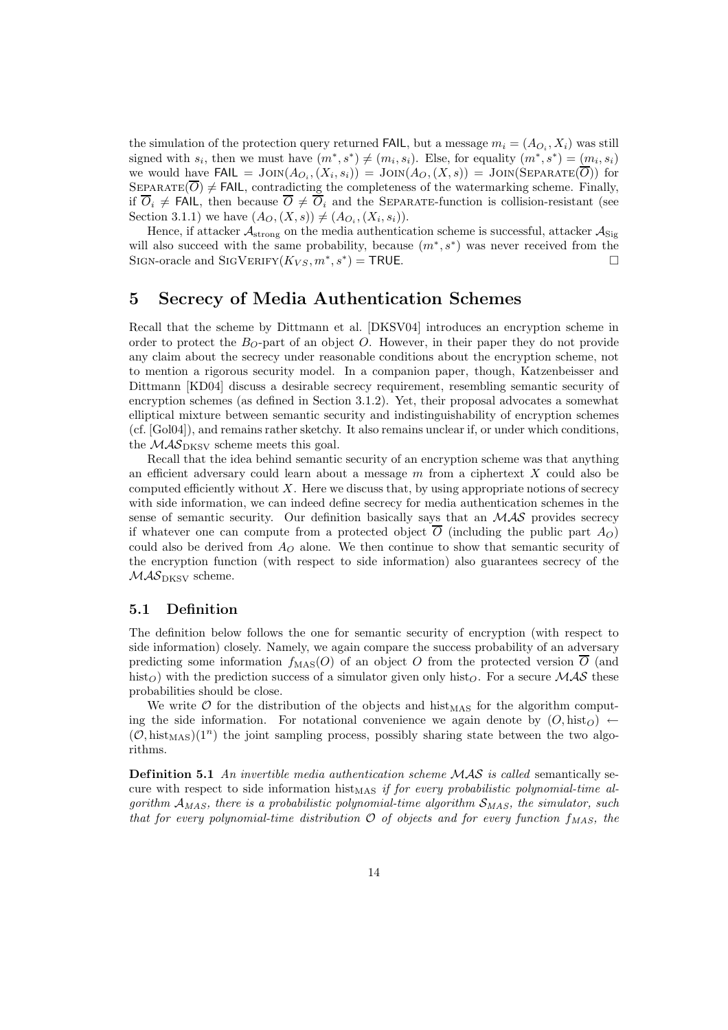the simulation of the protection query returned FAIL, but a message  $m_i = (A_{O_i}, X_i)$  was still signed with  $s_i$ , then we must have  $(m^*, s^*) \neq (m_i, s_i)$ . Else, for equality  $(m^*, s^*) = (m_i, s_i)$ we would have  $\text{FAIL} = \text{Join}(A_{O_i}, (X_i, s_i)) = \text{Join}(A_{O_i}, (X, s)) = \text{Join}(\text{SEPARATE}(\overline{O}))$  for  $SEPARATE(\overline{O}) \neq FAIL$ , contradicting the completeness of the watermarking scheme. Finally, if  $\overline{O}_i \neq$  FAIL, then because  $\overline{O} \neq \overline{O}_i$  and the SEPARATE-function is collision-resistant (see Section 3.1.1) we have  $(A_O, (X, s)) \neq (A_{O_i}, (X_i, s_i)).$ 

Hence, if attacker  $A_{\text{strong}}$  on the media authentication scheme is successful, attacker  $A_{\text{Sig}}$ will also succeed with the same probability, because  $(m^*, s^*)$  was never received from the SIGN-oracle and SIGVERIFY $(K_{VS}, m^*, s^*)$  = TRUE.

## 5 Secrecy of Media Authentication Schemes

Recall that the scheme by Dittmann et al. [DKSV04] introduces an encryption scheme in order to protect the  $B<sub>O</sub>$ -part of an object O. However, in their paper they do not provide any claim about the secrecy under reasonable conditions about the encryption scheme, not to mention a rigorous security model. In a companion paper, though, Katzenbeisser and Dittmann [KD04] discuss a desirable secrecy requirement, resembling semantic security of encryption schemes (as defined in Section 3.1.2). Yet, their proposal advocates a somewhat elliptical mixture between semantic security and indistinguishability of encryption schemes (cf. [Gol04]), and remains rather sketchy. It also remains unclear if, or under which conditions, the  $\mathcal{M} \mathcal{A} \mathcal{S}_{\text{DKSV}}$  scheme meets this goal.

Recall that the idea behind semantic security of an encryption scheme was that anything an efficient adversary could learn about a message  $m$  from a ciphertext  $X$  could also be computed efficiently without  $X$ . Here we discuss that, by using appropriate notions of secrecy with side information, we can indeed define secrecy for media authentication schemes in the sense of semantic security. Our definition basically says that an  $MAS$  provides secrecy if whatever one can compute from a protected object  $\overline{O}$  (including the public part  $A_O$ ) could also be derived from  $A<sub>O</sub>$  alone. We then continue to show that semantic security of the encryption function (with respect to side information) also guarantees secrecy of the  $MAS$ <sub>DKSV</sub> scheme.

#### 5.1 Definition

The definition below follows the one for semantic security of encryption (with respect to side information) closely. Namely, we again compare the success probability of an adversary predicting some information  $f_{\text{MAS}}(O)$  of an object O from the protected version  $\overline{O}$  (and hist<sub>O</sub>) with the prediction success of a simulator given only hist<sub>O</sub>. For a secure  $\mathcal{M}AS$  these probabilities should be close.

We write  $\mathcal O$  for the distribution of the objects and hist<sub>MAS</sub> for the algorithm computing the side information. For notational convenience we again denote by  $(O, hist_O) \leftarrow$  $(\mathcal{O}, \text{hist}_{\text{MAS}})(1^n)$  the joint sampling process, possibly sharing state between the two algorithms.

**Definition 5.1** An invertible media authentication scheme  $MAS$  is called semantically secure with respect to side information hist $_{\text{MAS}}$  if for every probabilistic polynomial-time algorithm  $A_{MAS}$ , there is a probabilistic polynomial-time algorithm  $S_{MAS}$ , the simulator, such that for every polynomial-time distribution  $\mathcal O$  of objects and for every function  $f_{MAS}$ , the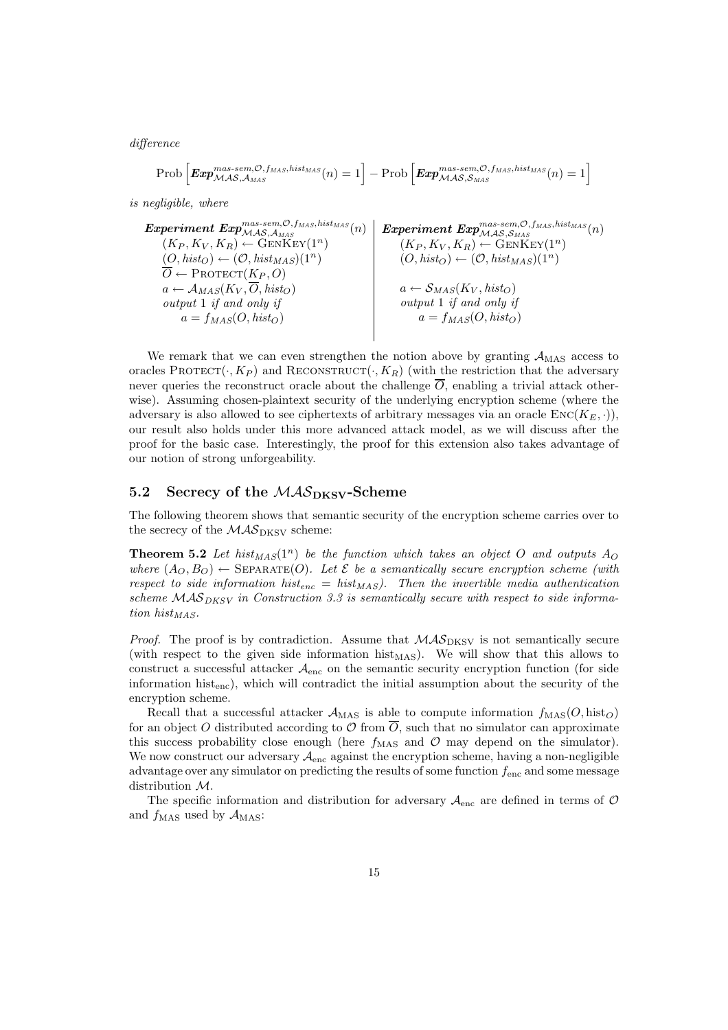difference

$$
\text{Prob}\left[\pmb{Exp}_{\mathcal{MAS},\mathcal{A}_{MAS}}^{\textit{mas-sem},\mathcal{O},\textit{f}_{MAS,hist_{MAS}}}(n)=1\right]-\text{Prob}\left[\pmb{Exp}_{\mathcal{MAS},\mathcal{S}_{MAS}}^{\textit{mas-sem},\mathcal{O},\textit{f}_{MAS,hist_{MAS}}}(n)=1\right]
$$

is negligible, where

| Experiment $Exp_{MAS,Ans}^{mas-sem, O, f_{MAS}, hist_{MAS}}(n)$ | Experiment $Exp_{MAS, S_{MAS}}^{mas-sem, O, f_{MAS}, hist_{MAS}}(n)$ |
|-----------------------------------------------------------------|----------------------------------------------------------------------|
| $(K_P, K_V, K_R) \leftarrow$ GENKEY(1 <sup>n</sup> )            | $(K_P, K_V, K_R) \leftarrow$ GENKEY(1 <sup>n</sup> )                 |
| $(O, hist_O) \leftarrow (O, hist_{MAS})(1^n)$                   | $(O, hist_O) \leftarrow (O, hist_{MAS})(1^n)$                        |
| $\overline{O} \leftarrow$ PROTECT( $K_P, O$ )                   | $a \leftarrow S_{MAS}(K_V, hist_O)$                                  |
| $output 1$ if and only if                                       | $a = f_{MAS}(O, hist_O)$                                             |

We remark that we can even strengthen the notion above by granting  $A_{\text{MAS}}$  access to oracles PROTECT( $\cdot$ ,  $K_P$ ) and RECONSTRUCT( $\cdot$ ,  $K_R$ ) (with the restriction that the adversary never queries the reconstruct oracle about the challenge  $\overline{O}$ , enabling a trivial attack otherwise). Assuming chosen-plaintext security of the underlying encryption scheme (where the adversary is also allowed to see ciphertexts of arbitrary messages via an oracle  $Enc(K_E, \cdot)$ , our result also holds under this more advanced attack model, as we will discuss after the proof for the basic case. Interestingly, the proof for this extension also takes advantage of our notion of strong unforgeability.

#### 5.2 Secrecy of the  $\mathcal{M} \mathcal{A} \mathcal{S}_{\text{DKSV}}$ -Scheme

The following theorem shows that semantic security of the encryption scheme carries over to the secrecy of the  ${\mathcal{M}\mathcal{A}\mathcal{S}}_{\text{DKSV}}$  scheme:

**Theorem 5.2** Let hist $MAS(1^n)$  be the function which takes an object O and outputs  $A_O$ where  $(A_O, B_O) \leftarrow$  SEPARATE(O). Let  $\mathcal E$  be a semantically secure encryption scheme (with respect to side information hist<sub>enc</sub> = hist<sub>MAS</sub>). Then the invertible media authentication scheme  $MAS_{DKSV}$  in Construction 3.3 is semantically secure with respect to side information hist $_{MAS}$ .

*Proof.* The proof is by contradiction. Assume that  $MAS_{DKSV}$  is not semantically secure (with respect to the given side information hist $_{\text{MAS}}$ ). We will show that this allows to construct a successful attacker  $A_{\text{enc}}$  on the semantic security encryption function (for side information hist<sub>enc</sub>), which will contradict the initial assumption about the security of the encryption scheme.

Recall that a successful attacker  $\mathcal{A}_{\text{MAS}}$  is able to compute information  $f_{\text{MAS}}(O, \text{hist}_O)$ for an object O distributed according to O from  $\overline{O}$ , such that no simulator can approximate this success probability close enough (here  $f_{\text{MAS}}$  and  $\mathcal{O}$  may depend on the simulator). We now construct our adversary  $\mathcal{A}_{\text{enc}}$  against the encryption scheme, having a non-negligible advantage over any simulator on predicting the results of some function  $f_{\text{enc}}$  and some message distribution M.

The specific information and distribution for adversary  $A_{\text{enc}}$  are defined in terms of  $\mathcal O$ and  $f_{\text{MAS}}$  used by  $\mathcal{A}_{\text{MAS}}$ :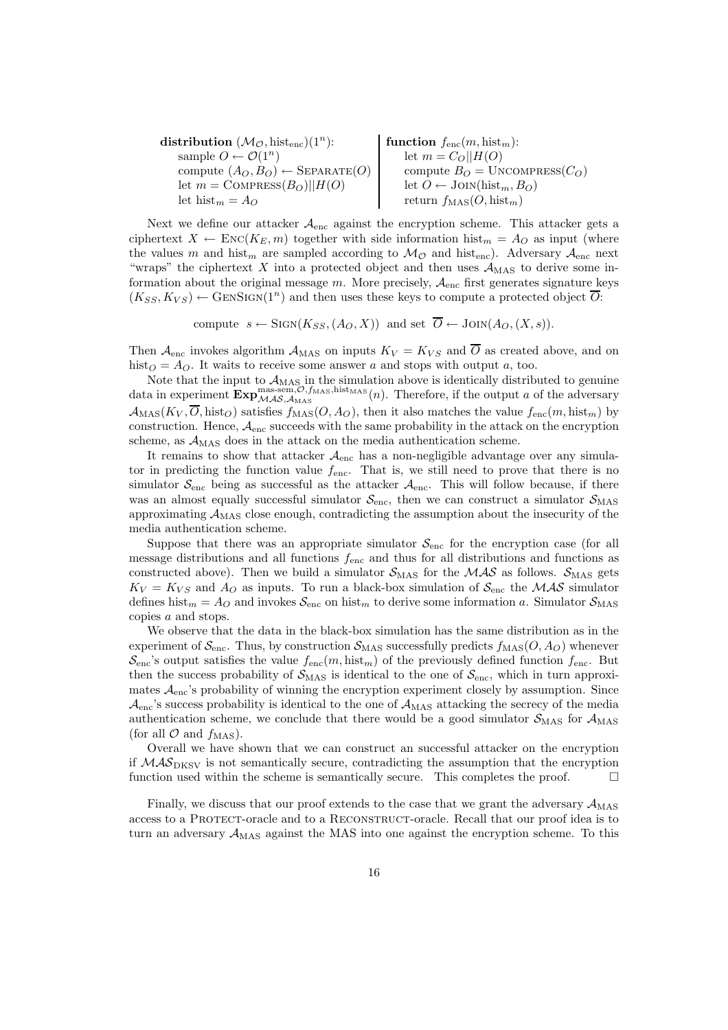| distribution $(\mathcal{M}_{\mathcal{O}}, \text{hist}_{enc})(1^n)$ : | function $f_{\text{enc}}(m, \text{hist}_m)$ :     |
|----------------------------------------------------------------------|---------------------------------------------------|
| sample $O \leftarrow \mathcal{O}(1^n)$                               | let $m = C_O    H(O)$                             |
| compute $(A_O, B_O) \leftarrow$ SEPARATE(O)                          | compute $B_O = \text{UNCOMPRESS}(C_O)$            |
| let $m = \text{COMPRESS}(B_O)  H(O)$                                 | let $O \leftarrow \text{JON}(\text{hist}_m, B_O)$ |
| let hist <sub>m</sub> = $A_O$                                        | return $f_{\text{MAS}}(O, \text{hist}_m)$         |

Next we define our attacker  $\mathcal{A}_{\text{enc}}$  against the encryption scheme. This attacker gets a ciphertext  $X \leftarrow \text{Enc}(K_E, m)$  together with side information hist<sub>m</sub> = A<sub>O</sub> as input (where the values m and hist<sub>m</sub> are sampled according to  $\mathcal{M}_{\mathcal{O}}$  and hist<sub>enc</sub>). Adversary  $\mathcal{A}_{enc}$  next "wraps" the ciphertext X into a protected object and then uses  $\mathcal{A}_{\text{MAS}}$  to derive some information about the original message  $m$ . More precisely,  $A<sub>enc</sub>$  first generates signature keys  $(K_{SS}, K_{VS}) \leftarrow$  GENSIGN(1<sup>n</sup>) and then uses these keys to compute a protected object  $\overline{O}$ :

compute  $s \leftarrow$  SIGN( $K_{SS}$ ,  $(A_O, X)$ ) and set  $\overline{O} \leftarrow$  JOIN( $A_O$ ,  $(X, s)$ ).

Then  $\mathcal{A}_{\text{enc}}$  invokes algorithm  $\mathcal{A}_{\text{MAS}}$  on inputs  $K_V = K_{VS}$  and  $\overline{O}$  as created above, and on hist<sub>O</sub> =  $A_O$ . It waits to receive some answer a and stops with output a, too.

Note that the input to  $\mathcal{A}_{\text{MAS}}$  in the simulation above is identically distributed to genuine data in experiment  $\mathbf{Exp}_{\mathcal{MAS},\mathcal{A}_{\text{MAS}}}^{\text{mas-sem},\mathcal{O},f_{\text{MAS}}$ , hist<sub>MAS</sub> $(n)$ . Therefore, if the output a of the adversary  $\mathcal{A}_{\text{MAS}}(K_V, \overline{O}, \text{hist}_{O})$  satisfies  $f_{\text{MAS}}(O, A_O)$ , then it also matches the value  $f_{\text{enc}}(m, \text{hist}_{m})$  by construction. Hence,  $A_{\text{enc}}$  succeeds with the same probability in the attack on the encryption scheme, as  $A_{\text{MAS}}$  does in the attack on the media authentication scheme.

It remains to show that attacker  $A_{\text{enc}}$  has a non-negligible advantage over any simulator in predicting the function value  $f_{\text{enc}}$ . That is, we still need to prove that there is no simulator  $\mathcal{S}_{\text{enc}}$  being as successful as the attacker  $\mathcal{A}_{\text{enc}}$ . This will follow because, if there was an almost equally successful simulator  $\mathcal{S}_{\text{enc}}$ , then we can construct a simulator  $\mathcal{S}_{\text{MAS}}$ approximating  $A_{\text{MAS}}$  close enough, contradicting the assumption about the insecurity of the media authentication scheme.

Suppose that there was an appropriate simulator  $\mathcal{S}_{enc}$  for the encryption case (for all message distributions and all functions  $f_{\text{enc}}$  and thus for all distributions and functions as constructed above). Then we build a simulator  $\mathcal{S}_{\text{MAS}}$  for the  $\mathcal{MAS}$  as follows.  $\mathcal{S}_{\text{MAS}}$  gets  $K_V = K_{VS}$  and  $A_O$  as inputs. To run a black-box simulation of  $S_{\text{enc}}$  the MAS simulator defines hist<sub>m</sub> =  $A_O$  and invokes  $S_{\text{enc}}$  on hist<sub>m</sub> to derive some information a. Simulator  $S_{\text{MAS}}$ copies a and stops.

We observe that the data in the black-box simulation has the same distribution as in the experiment of  $\mathcal{S}_{enc}$ . Thus, by construction  $\mathcal{S}_{MAS}$  successfully predicts  $f_{MAS}(O, A_O)$  whenever  $\mathcal{S}_{\text{enc}}$ 's output satisfies the value  $f_{\text{enc}}(m, \text{hist}_m)$  of the previously defined function  $f_{\text{enc}}$ . But then the success probability of  $\mathcal{S}_{\text{MAS}}$  is identical to the one of  $\mathcal{S}_{\text{enc}}$ , which in turn approximates  $\mathcal{A}_{\text{enc}}$ 's probability of winning the encryption experiment closely by assumption. Since  $A_{\text{enc}}$ 's success probability is identical to the one of  $A_{\text{MAS}}$  attacking the secrecy of the media authentication scheme, we conclude that there would be a good simulator  $\mathcal{S}_{\text{MAS}}$  for  $\mathcal{A}_{\text{MAS}}$ (for all  $\mathcal{O}$  and  $f_{\text{MAS}}$ ).

Overall we have shown that we can construct an successful attacker on the encryption if  $MAS<sub>DKSV</sub>$  is not semantically secure, contradicting the assumption that the encryption function used within the scheme is semantically secure. This completes the proof.  $\Box$ 

Finally, we discuss that our proof extends to the case that we grant the adversary  $\mathcal{A}_{\text{MAS}}$ access to a PROTECT-oracle and to a RECONSTRUCT-oracle. Recall that our proof idea is to turn an adversary  $A_{\text{MAS}}$  against the MAS into one against the encryption scheme. To this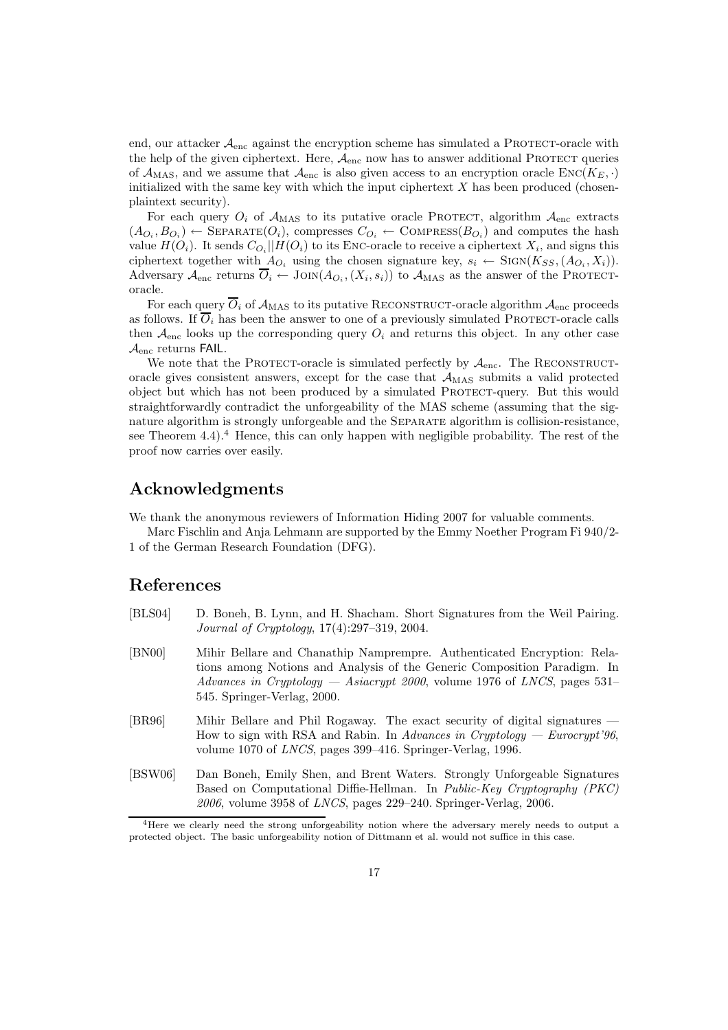end, our attacker  $A_{\text{enc}}$  against the encryption scheme has simulated a PROTECT-oracle with the help of the given ciphertext. Here,  $A_{\text{enc}}$  now has to answer additional PROTECT queries of  $\mathcal{A}_{\text{MAS}}$ , and we assume that  $\mathcal{A}_{\text{enc}}$  is also given access to an encryption oracle  $\text{Enc}(K_E, \cdot)$ initialized with the same key with which the input ciphertext  $X$  has been produced (chosenplaintext security).

For each query  $O_i$  of  $\mathcal{A}_{\text{MAS}}$  to its putative oracle PROTECT, algorithm  $\mathcal{A}_{\text{enc}}$  extracts  $(A_{O_i}, B_{O_i}) \leftarrow$  SEPARATE $(O_i)$ , compresses  $C_{O_i} \leftarrow$  COMPRESS $(B_{O_i})$  and computes the hash value  $H(O_i)$ . It sends  $C_{O_i} || H(O_i)$  to its ENC-oracle to receive a ciphertext  $X_i$ , and signs this ciphertext together with  $A_{O_i}$  using the chosen signature key,  $s_i \leftarrow \text{SIGN}(K_{SS}, (A_{O_i}, X_i)).$ Adversary  $\mathcal{A}_{\text{enc}}$  returns  $\overline{O}_i \leftarrow \text{Join}(A_{O_i}, (X_i, s_i))$  to  $\mathcal{A}_{\text{MAS}}$  as the answer of the PROTECToracle.

For each query  $\overline{O}_i$  of  $\mathcal{A}_{\text{MAS}}$  to its putative RECONSTRUCT-oracle algorithm  $\mathcal{A}_{\text{enc}}$  proceeds as follows. If  $\overline{O}_i$  has been the answer to one of a previously simulated PROTECT-oracle calls then  $A_{\text{enc}}$  looks up the corresponding query  $O_i$  and returns this object. In any other case  $A<sub>enc</sub>$  returns FAIL.

We note that the PROTECT-oracle is simulated perfectly by  $A_{\text{enc}}$ . The RECONSTRUCToracle gives consistent answers, except for the case that  $A_{\text{MAS}}$  submits a valid protected object but which has not been produced by a simulated PROTECT-query. But this would straightforwardly contradict the unforgeability of the MAS scheme (assuming that the signature algorithm is strongly unforgeable and the Separate algorithm is collision-resistance, see Theorem 4.4).<sup>4</sup> Hence, this can only happen with negligible probability. The rest of the proof now carries over easily.

## Acknowledgments

We thank the anonymous reviewers of Information Hiding 2007 for valuable comments.

Marc Fischlin and Anja Lehmann are supported by the Emmy Noether Program Fi 940/2- 1 of the German Research Foundation (DFG).

# References

- [BLS04] D. Boneh, B. Lynn, and H. Shacham. Short Signatures from the Weil Pairing. Journal of Cryptology, 17(4):297–319, 2004.
- [BN00] Mihir Bellare and Chanathip Namprempre. Authenticated Encryption: Relations among Notions and Analysis of the Generic Composition Paradigm. In Advances in Cryptology — Asiacrypt 2000, volume 1976 of LNCS, pages 531– 545. Springer-Verlag, 2000.
- [BR96] Mihir Bellare and Phil Rogaway. The exact security of digital signatures How to sign with RSA and Rabin. In Advances in Cryptology — Eurocrypt'96, volume 1070 of LNCS, pages 399–416. Springer-Verlag, 1996.
- [BSW06] Dan Boneh, Emily Shen, and Brent Waters. Strongly Unforgeable Signatures Based on Computational Diffie-Hellman. In Public-Key Cryptography (PKC)  $2006$ , volume 3958 of *LNCS*, pages 229–240. Springer-Verlag, 2006.

<sup>4</sup>Here we clearly need the strong unforgeability notion where the adversary merely needs to output a protected object. The basic unforgeability notion of Dittmann et al. would not suffice in this case.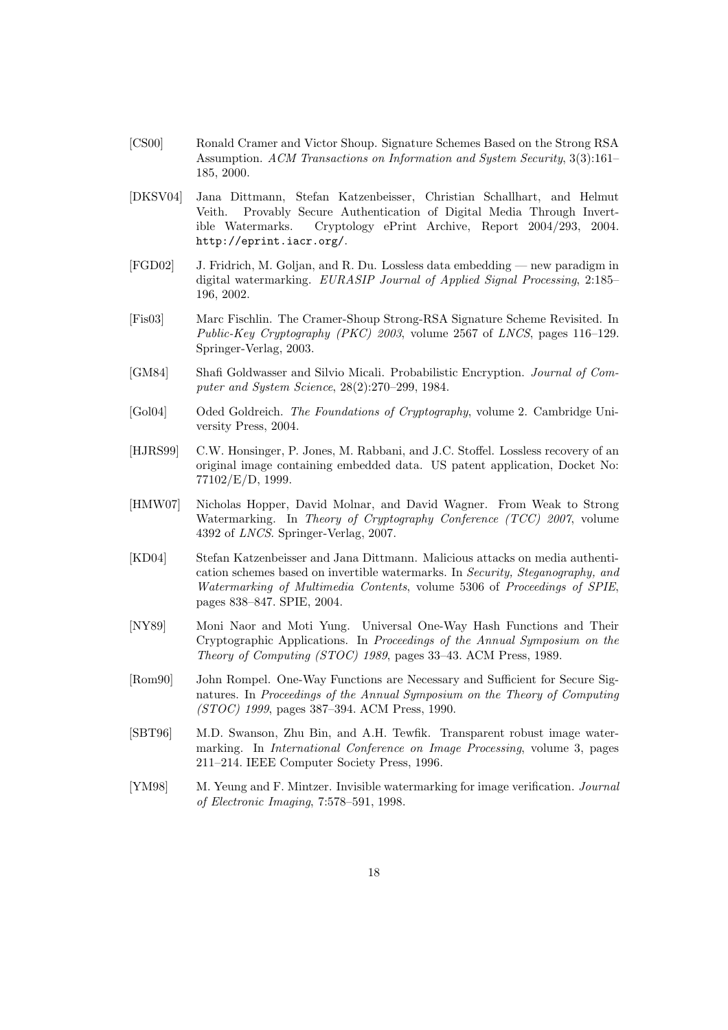- [CS00] Ronald Cramer and Victor Shoup. Signature Schemes Based on the Strong RSA Assumption. ACM Transactions on Information and System Security, 3(3):161– 185, 2000.
- [DKSV04] Jana Dittmann, Stefan Katzenbeisser, Christian Schallhart, and Helmut Veith. Provably Secure Authentication of Digital Media Through Invertible Watermarks. Cryptology ePrint Archive, Report 2004/293, 2004. http://eprint.iacr.org/.
- [FGD02] J. Fridrich, M. Goljan, and R. Du. Lossless data embedding new paradigm in digital watermarking. EURASIP Journal of Applied Signal Processing, 2:185– 196, 2002.
- [Fis03] Marc Fischlin. The Cramer-Shoup Strong-RSA Signature Scheme Revisited. In Public-Key Cryptography (PKC) 2003, volume 2567 of LNCS, pages 116–129. Springer-Verlag, 2003.
- [GM84] Shafi Goldwasser and Silvio Micali. Probabilistic Encryption. Journal of Computer and System Science, 28(2):270–299, 1984.
- [Gol04] Oded Goldreich. The Foundations of Cryptography, volume 2. Cambridge University Press, 2004.
- [HJRS99] C.W. Honsinger, P. Jones, M. Rabbani, and J.C. Stoffel. Lossless recovery of an original image containing embedded data. US patent application, Docket No: 77102/E/D, 1999.
- [HMW07] Nicholas Hopper, David Molnar, and David Wagner. From Weak to Strong Watermarking. In Theory of Cryptography Conference (TCC) 2007, volume 4392 of LNCS. Springer-Verlag, 2007.
- [KD04] Stefan Katzenbeisser and Jana Dittmann. Malicious attacks on media authentication schemes based on invertible watermarks. In Security, Steganography, and Watermarking of Multimedia Contents, volume 5306 of Proceedings of SPIE, pages 838–847. SPIE, 2004.
- [NY89] Moni Naor and Moti Yung. Universal One-Way Hash Functions and Their Cryptographic Applications. In Proceedings of the Annual Symposium on the Theory of Computing (STOC) 1989, pages 33–43. ACM Press, 1989.
- [Rom90] John Rompel. One-Way Functions are Necessary and Sufficient for Secure Signatures. In Proceedings of the Annual Symposium on the Theory of Computing (STOC) 1999, pages 387–394. ACM Press, 1990.
- [SBT96] M.D. Swanson, Zhu Bin, and A.H. Tewfik. Transparent robust image watermarking. In International Conference on Image Processing, volume 3, pages 211–214. IEEE Computer Society Press, 1996.
- [YM98] M. Yeung and F. Mintzer. Invisible watermarking for image verification. Journal of Electronic Imaging, 7:578–591, 1998.